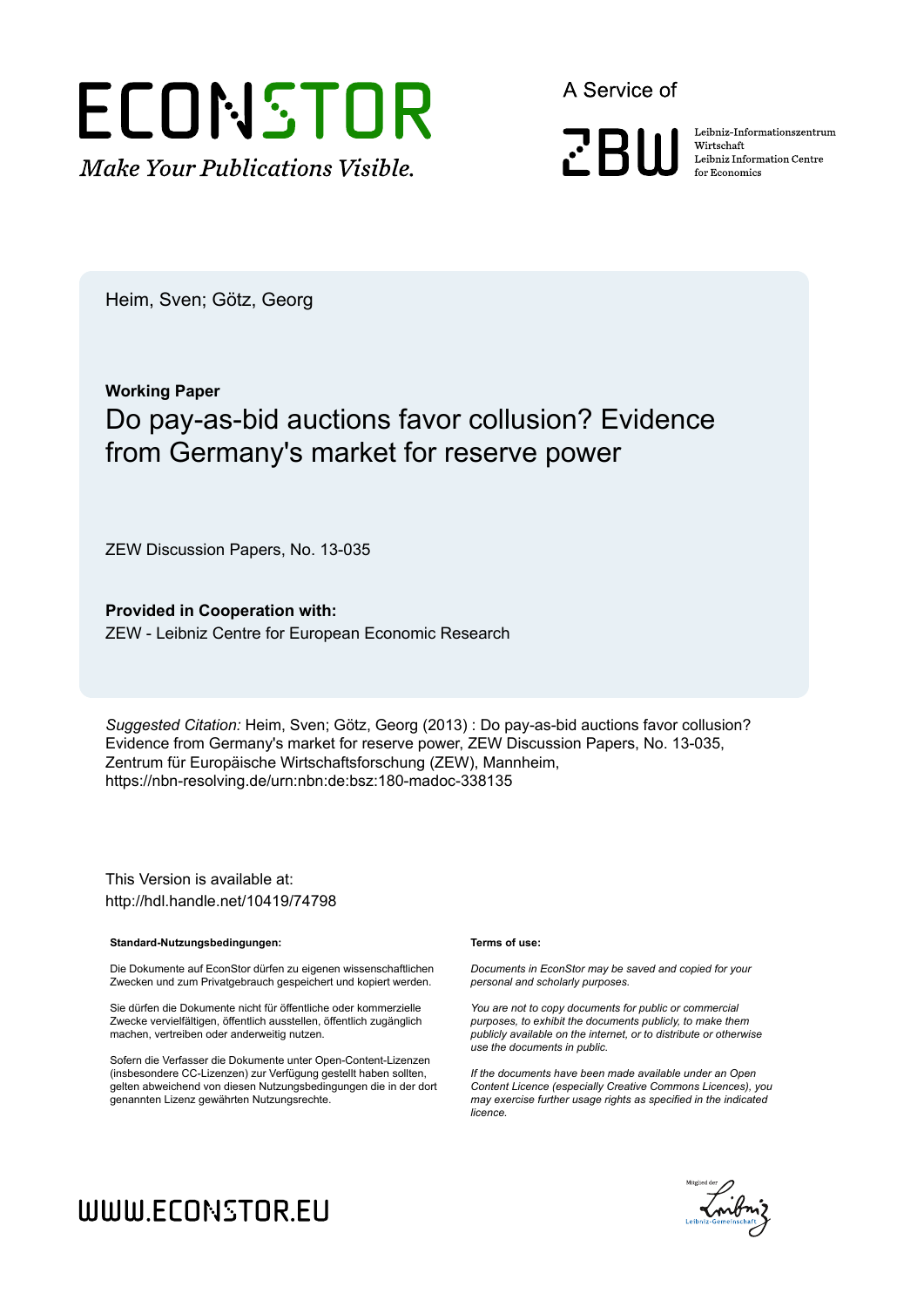

A Service of

**PRIII** 

Leibniz Informationszentrum Wirtschaft Leibniz Information Centre for Economics

Heim, Sven; Götz, Georg

# **Working Paper** Do pay-as-bid auctions favor collusion? Evidence from Germany's market for reserve power

ZEW Discussion Papers, No. 13-035

**Provided in Cooperation with:** ZEW - Leibniz Centre for European Economic Research

*Suggested Citation:* Heim, Sven; Götz, Georg (2013) : Do pay-as-bid auctions favor collusion? Evidence from Germany's market for reserve power, ZEW Discussion Papers, No. 13-035, Zentrum für Europäische Wirtschaftsforschung (ZEW), Mannheim, https://nbn-resolving.de/urn:nbn:de:bsz:180-madoc-338135

This Version is available at: http://hdl.handle.net/10419/74798

#### **Standard-Nutzungsbedingungen:**

Die Dokumente auf EconStor dürfen zu eigenen wissenschaftlichen Zwecken und zum Privatgebrauch gespeichert und kopiert werden.

Sie dürfen die Dokumente nicht für öffentliche oder kommerzielle Zwecke vervielfältigen, öffentlich ausstellen, öffentlich zugänglich machen, vertreiben oder anderweitig nutzen.

Sofern die Verfasser die Dokumente unter Open-Content-Lizenzen (insbesondere CC-Lizenzen) zur Verfügung gestellt haben sollten, gelten abweichend von diesen Nutzungsbedingungen die in der dort genannten Lizenz gewährten Nutzungsrechte.

#### **Terms of use:**

*Documents in EconStor may be saved and copied for your personal and scholarly purposes.*

*You are not to copy documents for public or commercial purposes, to exhibit the documents publicly, to make them publicly available on the internet, or to distribute or otherwise use the documents in public.*

*If the documents have been made available under an Open Content Licence (especially Creative Commons Licences), you may exercise further usage rights as specified in the indicated licence.*



# WWW.ECONSTOR.EU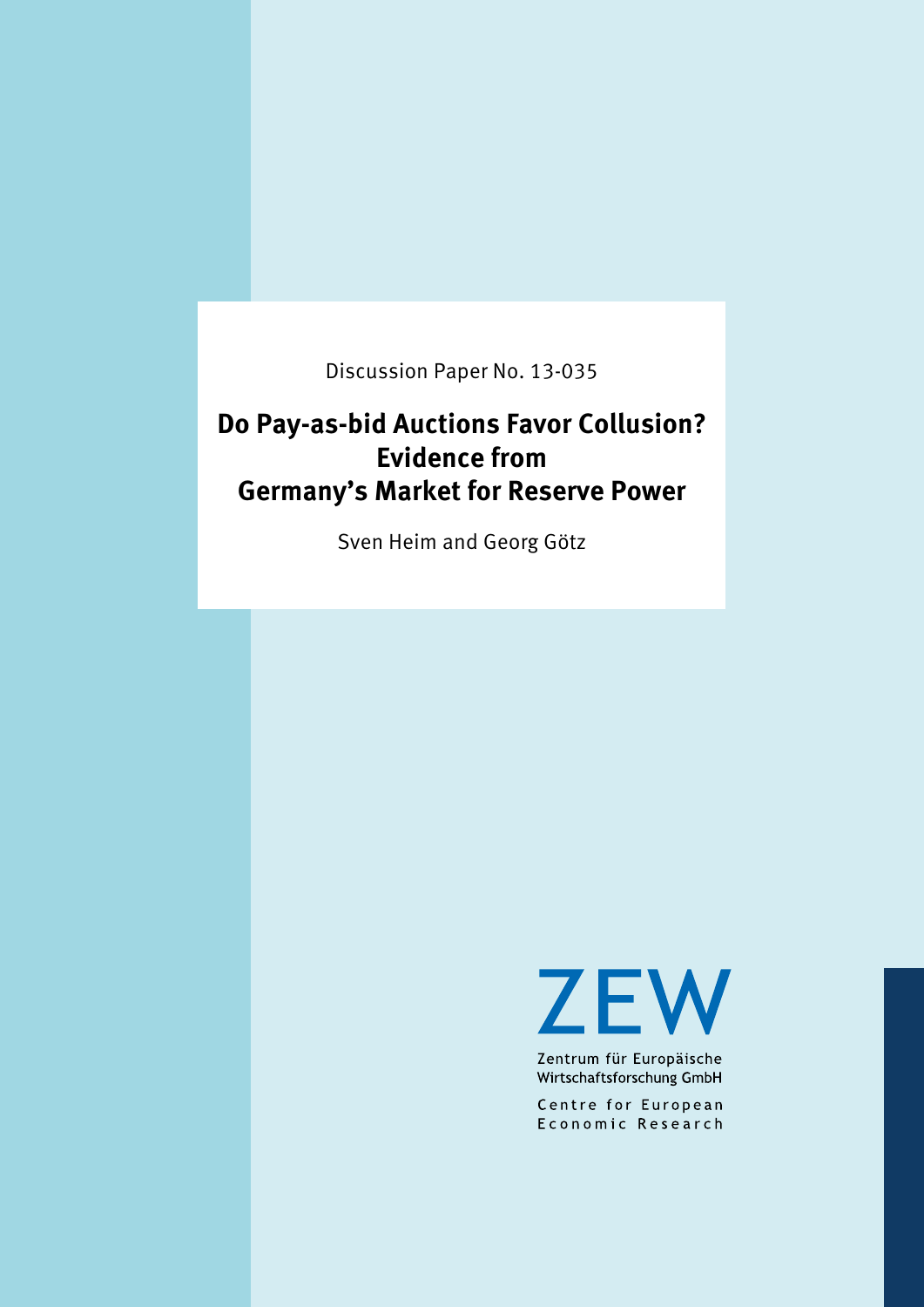Discussion Paper No. 13-035

# **Do Pay-as-bid Auctions Favor Collusion? Evidence from Germany's Market for Reserve Power**

Sven Heim and Georg Götz

**ZEW** 

Zentrum für Europäische Wirtschaftsforschung GmbH

Centre for European Economic Research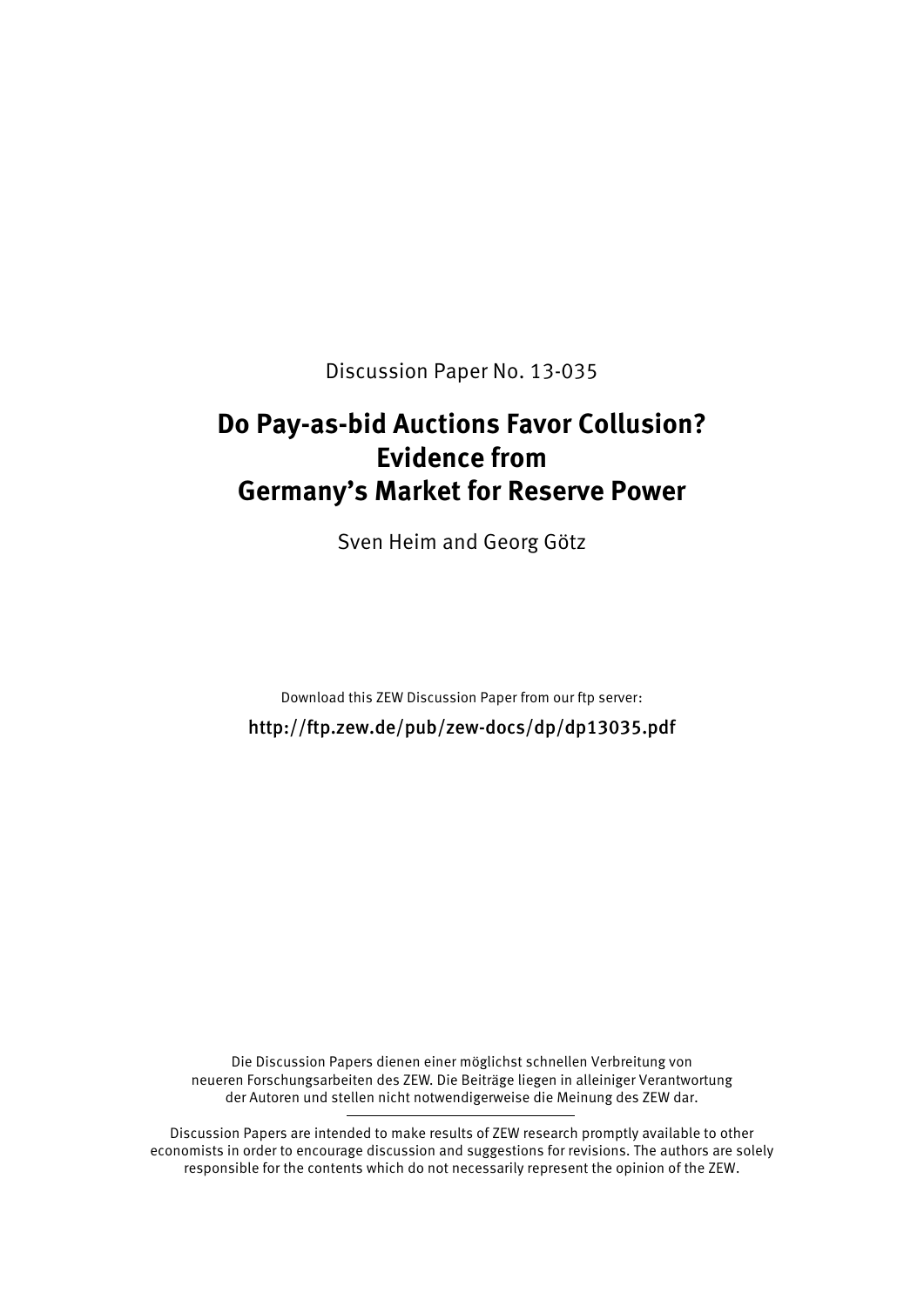Discussion Paper No. 13-035

# **Do Pay-as-bid Auctions Favor Collusion? Evidence from Germany's Market for Reserve Power**

Sven Heim and Georg Götz

Download this ZEW Discussion Paper from our ftp server: http://ftp.zew.de/pub/zew-docs/dp/dp13035.pdf

Die Discussion Papers dienen einer möglichst schnellen Verbreitung von neueren Forschungsarbeiten des ZEW. Die Beiträge liegen in alleiniger Verantwortung der Autoren und stellen nicht notwendigerweise die Meinung des ZEW dar.

Discussion Papers are intended to make results of ZEW research promptly available to other economists in order to encourage discussion and suggestions for revisions. The authors are solely responsible for the contents which do not necessarily represent the opinion of the ZEW.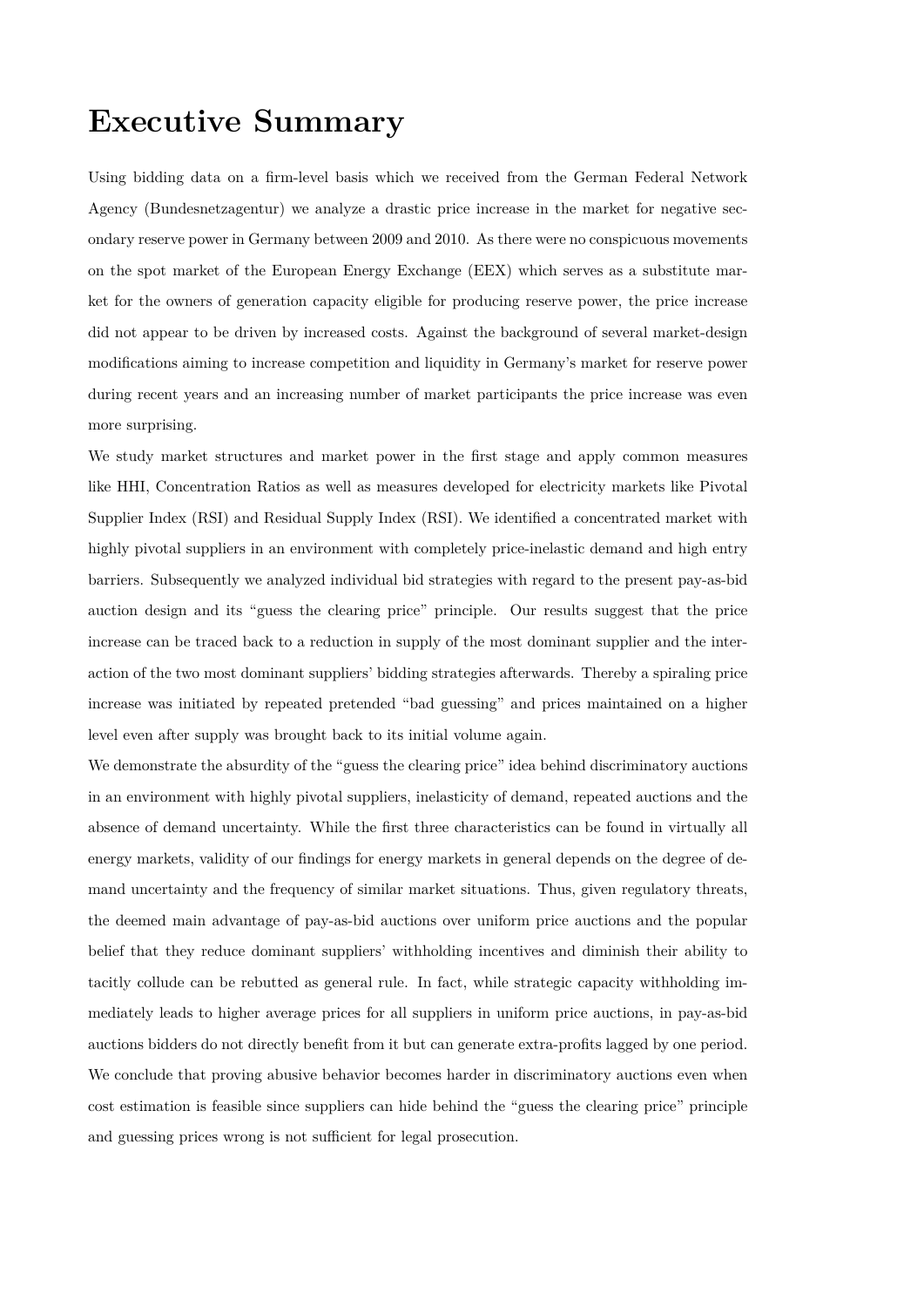# **Executive Summary**

Using bidding data on a firm-level basis which we received from the German Federal Network Agency (Bundesnetzagentur) we analyze a drastic price increase in the market for negative secondary reserve power in Germany between 2009 and 2010. As there were no conspicuous movements on the spot market of the European Energy Exchange (EEX) which serves as a substitute market for the owners of generation capacity eligible for producing reserve power, the price increase did not appear to be driven by increased costs. Against the background of several market-design modifications aiming to increase competition and liquidity in Germany's market for reserve power during recent years and an increasing number of market participants the price increase was even more surprising.

We study market structures and market power in the first stage and apply common measures like HHI, Concentration Ratios as well as measures developed for electricity markets like Pivotal Supplier Index (RSI) and Residual Supply Index (RSI). We identified a concentrated market with highly pivotal suppliers in an environment with completely price-inelastic demand and high entry barriers. Subsequently we analyzed individual bid strategies with regard to the present pay-as-bid auction design and its "guess the clearing price" principle. Our results suggest that the price increase can be traced back to a reduction in supply of the most dominant supplier and the interaction of the two most dominant suppliers' bidding strategies afterwards. Thereby a spiraling price increase was initiated by repeated pretended "bad guessing" and prices maintained on a higher level even after supply was brought back to its initial volume again.

We demonstrate the absurdity of the "guess the clearing price" idea behind discriminatory auctions in an environment with highly pivotal suppliers, inelasticity of demand, repeated auctions and the absence of demand uncertainty. While the first three characteristics can be found in virtually all energy markets, validity of our findings for energy markets in general depends on the degree of demand uncertainty and the frequency of similar market situations. Thus, given regulatory threats, the deemed main advantage of pay-as-bid auctions over uniform price auctions and the popular belief that they reduce dominant suppliers' withholding incentives and diminish their ability to tacitly collude can be rebutted as general rule. In fact, while strategic capacity withholding immediately leads to higher average prices for all suppliers in uniform price auctions, in pay-as-bid auctions bidders do not directly benefit from it but can generate extra-profits lagged by one period. We conclude that proving abusive behavior becomes harder in discriminatory auctions even when cost estimation is feasible since suppliers can hide behind the "guess the clearing price" principle and guessing prices wrong is not sufficient for legal prosecution.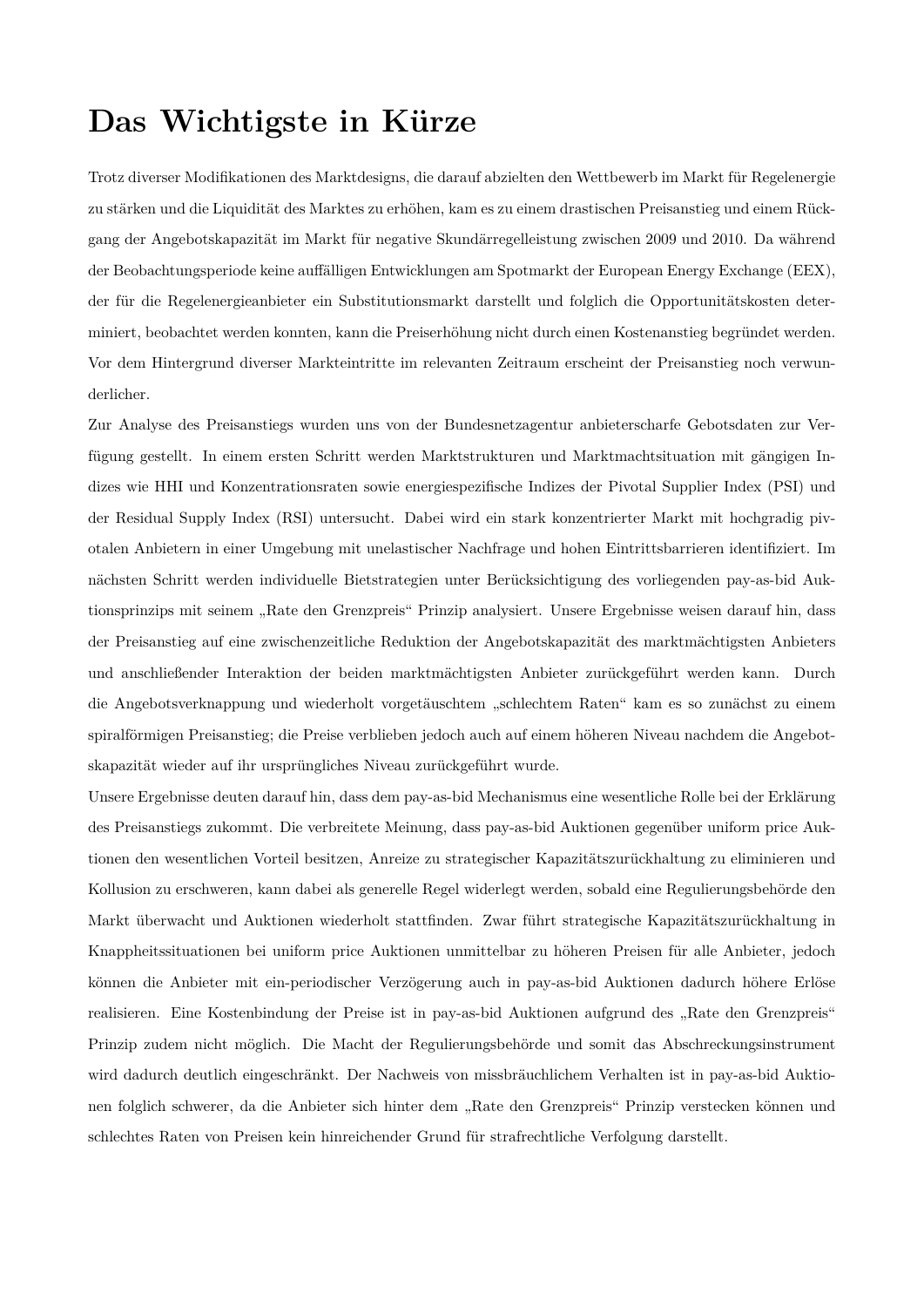# **Das Wichtigste in Kürze**

Trotz diverser Modifikationen des Marktdesigns, die darauf abzielten den Wettbewerb im Markt für Regelenergie zu stärken und die Liquidität des Marktes zu erhöhen, kam es zu einem drastischen Preisanstieg und einem Rückgang der Angebotskapazität im Markt für negative Skundärregelleistung zwischen 2009 und 2010. Da während der Beobachtungsperiode keine auffälligen Entwicklungen am Spotmarkt der European Energy Exchange (EEX), der für die Regelenergieanbieter ein Substitutionsmarkt darstellt und folglich die Opportunitätskosten determiniert, beobachtet werden konnten, kann die Preiserhöhung nicht durch einen Kostenanstieg begründet werden. Vor dem Hintergrund diverser Markteintritte im relevanten Zeitraum erscheint der Preisanstieg noch verwunderlicher.

Zur Analyse des Preisanstiegs wurden uns von der Bundesnetzagentur anbieterscharfe Gebotsdaten zur Verfügung gestellt. In einem ersten Schritt werden Marktstrukturen und Marktmachtsituation mit gängigen Indizes wie HHI und Konzentrationsraten sowie energiespezifische Indizes der Pivotal Supplier Index (PSI) und der Residual Supply Index (RSI) untersucht. Dabei wird ein stark konzentrierter Markt mit hochgradig pivotalen Anbietern in einer Umgebung mit unelastischer Nachfrage und hohen Eintrittsbarrieren identifiziert. Im nächsten Schritt werden individuelle Bietstrategien unter Berücksichtigung des vorliegenden pay-as-bid Auktionsprinzips mit seinem "Rate den Grenzpreis" Prinzip analysiert. Unsere Ergebnisse weisen darauf hin, dass der Preisanstieg auf eine zwischenzeitliche Reduktion der Angebotskapazität des marktmächtigsten Anbieters und anschließender Interaktion der beiden marktmächtigsten Anbieter zurückgeführt werden kann. Durch die Angebotsverknappung und wiederholt vorgetäuschtem "schlechtem Raten" kam es so zunächst zu einem spiralförmigen Preisanstieg; die Preise verblieben jedoch auch auf einem höheren Niveau nachdem die Angebotskapazität wieder auf ihr ursprüngliches Niveau zurückgeführt wurde.

Unsere Ergebnisse deuten darauf hin, dass dem pay-as-bid Mechanismus eine wesentliche Rolle bei der Erklärung des Preisanstiegs zukommt. Die verbreitete Meinung, dass pay-as-bid Auktionen gegenüber uniform price Auktionen den wesentlichen Vorteil besitzen, Anreize zu strategischer Kapazitätszurückhaltung zu eliminieren und Kollusion zu erschweren, kann dabei als generelle Regel widerlegt werden, sobald eine Regulierungsbehörde den Markt überwacht und Auktionen wiederholt stattfinden. Zwar führt strategische Kapazitätszurückhaltung in Knappheitssituationen bei uniform price Auktionen unmittelbar zu höheren Preisen für alle Anbieter, jedoch können die Anbieter mit ein-periodischer Verzögerung auch in pay-as-bid Auktionen dadurch höhere Erlöse realisieren. Eine Kostenbindung der Preise ist in pay-as-bid Auktionen aufgrund des "Rate den Grenzpreis" Prinzip zudem nicht möglich. Die Macht der Regulierungsbehörde und somit das Abschreckungsinstrument wird dadurch deutlich eingeschränkt. Der Nachweis von missbräuchlichem Verhalten ist in pay-as-bid Auktionen folglich schwerer, da die Anbieter sich hinter dem "Rate den Grenzpreis" Prinzip verstecken können und schlechtes Raten von Preisen kein hinreichender Grund für strafrechtliche Verfolgung darstellt.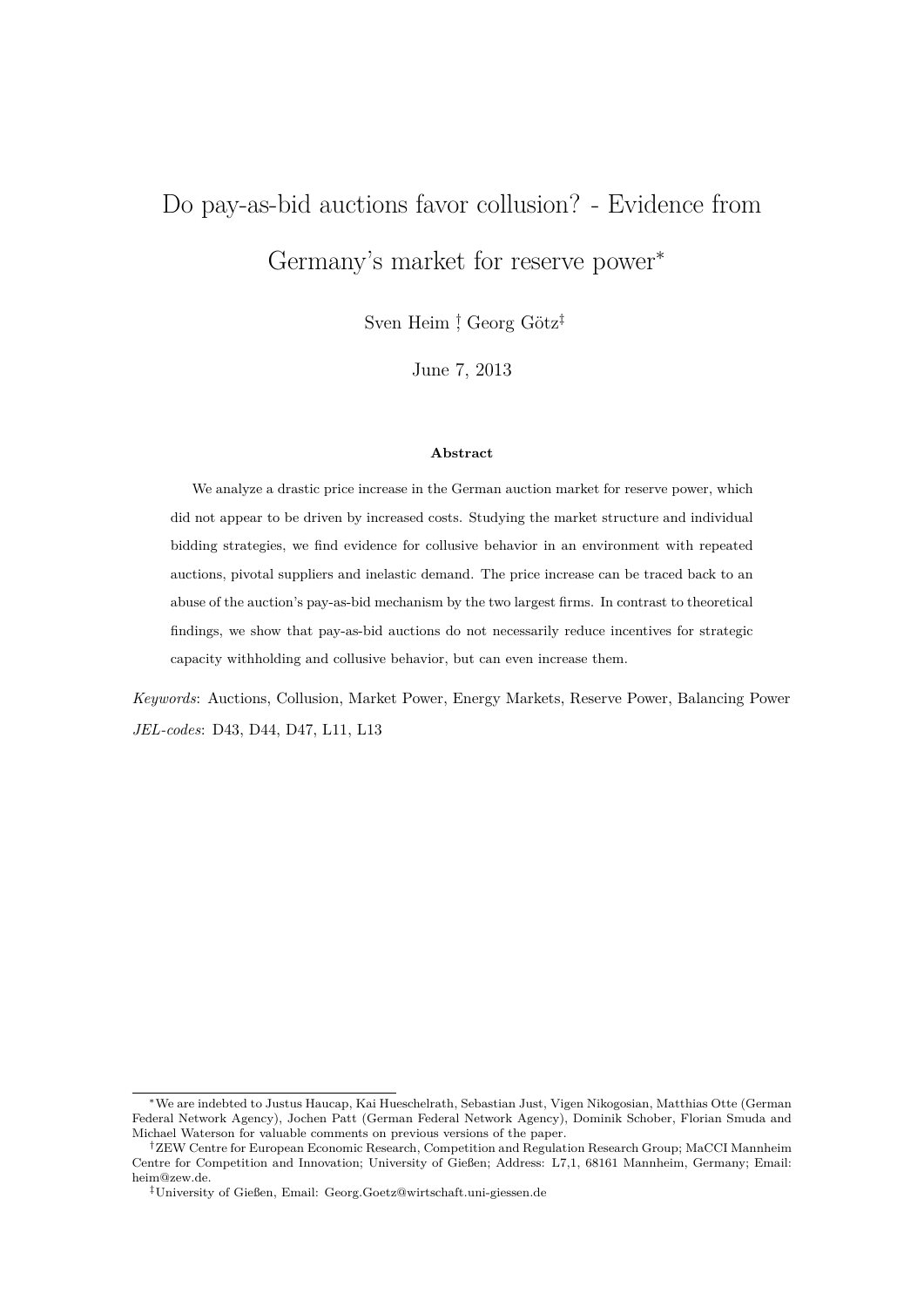# Do pay-as-bid auctions favor collusion? - Evidence from Germany's market for reserve power<sup>∗</sup>

Sven Heim † , Georg Götz‡

June 7, 2013

#### **Abstract**

We analyze a drastic price increase in the German auction market for reserve power, which did not appear to be driven by increased costs. Studying the market structure and individual bidding strategies, we find evidence for collusive behavior in an environment with repeated auctions, pivotal suppliers and inelastic demand. The price increase can be traced back to an abuse of the auction's pay-as-bid mechanism by the two largest firms. In contrast to theoretical findings, we show that pay-as-bid auctions do not necessarily reduce incentives for strategic capacity withholding and collusive behavior, but can even increase them.

*Keywords*: Auctions, Collusion, Market Power, Energy Markets, Reserve Power, Balancing Power *JEL-codes*: D43, D44, D47, L11, L13

<sup>∗</sup>We are indebted to Justus Haucap, Kai Hueschelrath, Sebastian Just, Vigen Nikogosian, Matthias Otte (German Federal Network Agency), Jochen Patt (German Federal Network Agency), Dominik Schober, Florian Smuda and Michael Waterson for valuable comments on previous versions of the paper.

<sup>†</sup>ZEW Centre for European Economic Research, Competition and Regulation Research Group; MaCCI Mannheim Centre for Competition and Innovation; University of Gießen; Address: L7,1, 68161 Mannheim, Germany; Email: heim@zew.de.

<sup>‡</sup>University of Gießen, Email: Georg.Goetz@wirtschaft.uni-giessen.de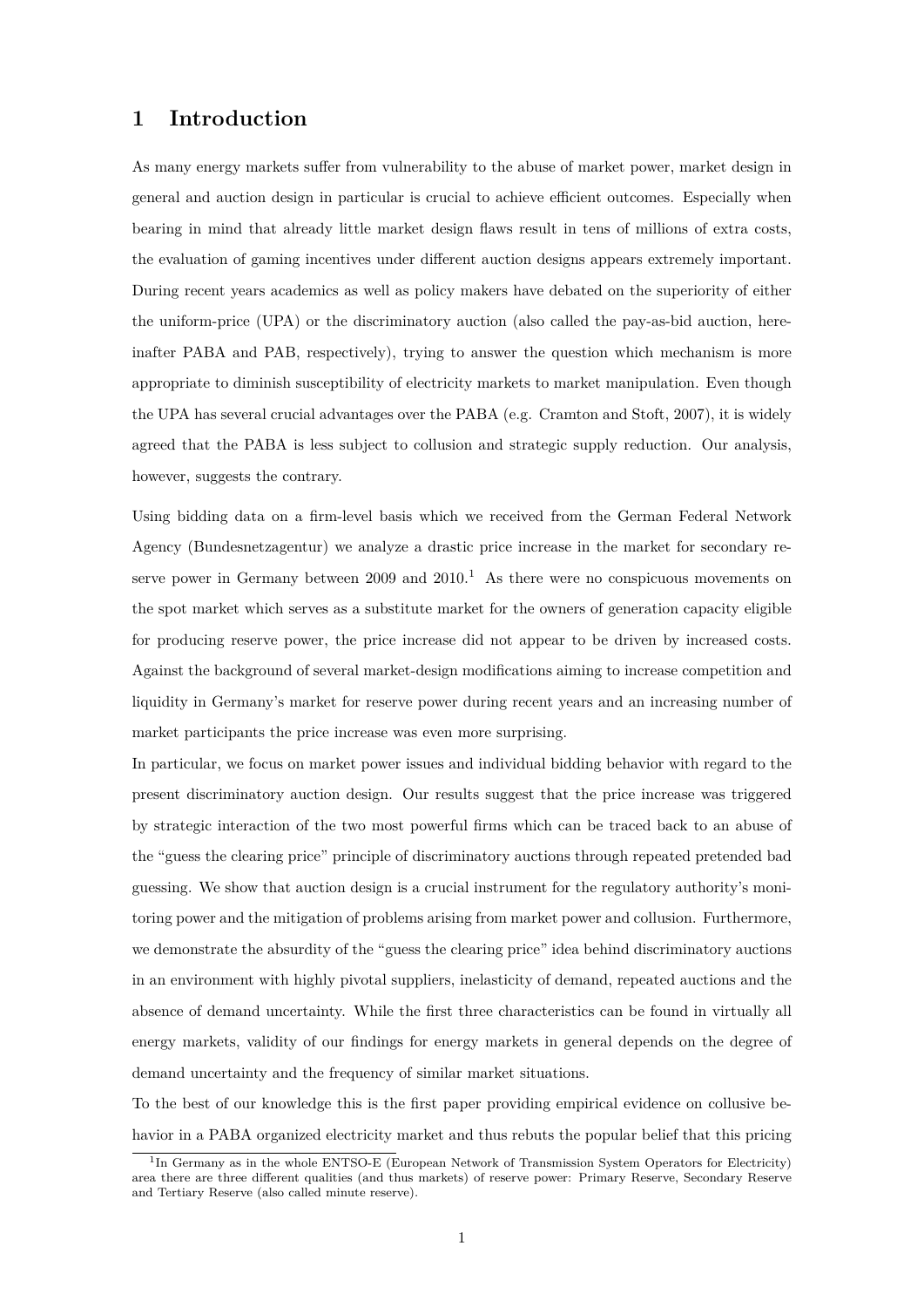### **1 Introduction**

As many energy markets suffer from vulnerability to the abuse of market power, market design in general and auction design in particular is crucial to achieve efficient outcomes. Especially when bearing in mind that already little market design flaws result in tens of millions of extra costs, the evaluation of gaming incentives under different auction designs appears extremely important. During recent years academics as well as policy makers have debated on the superiority of either the uniform-price (UPA) or the discriminatory auction (also called the pay-as-bid auction, hereinafter PABA and PAB, respectively), trying to answer the question which mechanism is more appropriate to diminish susceptibility of electricity markets to market manipulation. Even though the UPA has several crucial advantages over the PABA (e.g. Cramton and Stoft, 2007), it is widely agreed that the PABA is less subject to collusion and strategic supply reduction. Our analysis, however, suggests the contrary.

Using bidding data on a firm-level basis which we received from the German Federal Network Agency (Bundesnetzagentur) we analyze a drastic price increase in the market for secondary reserve power in Germany between  $2009$  and  $2010<sup>1</sup>$ . As there were no conspicuous movements on the spot market which serves as a substitute market for the owners of generation capacity eligible for producing reserve power, the price increase did not appear to be driven by increased costs. Against the background of several market-design modifications aiming to increase competition and liquidity in Germany's market for reserve power during recent years and an increasing number of market participants the price increase was even more surprising.

In particular, we focus on market power issues and individual bidding behavior with regard to the present discriminatory auction design. Our results suggest that the price increase was triggered by strategic interaction of the two most powerful firms which can be traced back to an abuse of the "guess the clearing price" principle of discriminatory auctions through repeated pretended bad guessing. We show that auction design is a crucial instrument for the regulatory authority's monitoring power and the mitigation of problems arising from market power and collusion. Furthermore, we demonstrate the absurdity of the "guess the clearing price" idea behind discriminatory auctions in an environment with highly pivotal suppliers, inelasticity of demand, repeated auctions and the absence of demand uncertainty. While the first three characteristics can be found in virtually all energy markets, validity of our findings for energy markets in general depends on the degree of demand uncertainty and the frequency of similar market situations.

To the best of our knowledge this is the first paper providing empirical evidence on collusive behavior in a PABA organized electricity market and thus rebuts the popular belief that this pricing

<sup>&</sup>lt;sup>1</sup>In Germany as in the whole ENTSO-E (European Network of Transmission System Operators for Electricity) area there are three different qualities (and thus markets) of reserve power: Primary Reserve, Secondary Reserve and Tertiary Reserve (also called minute reserve).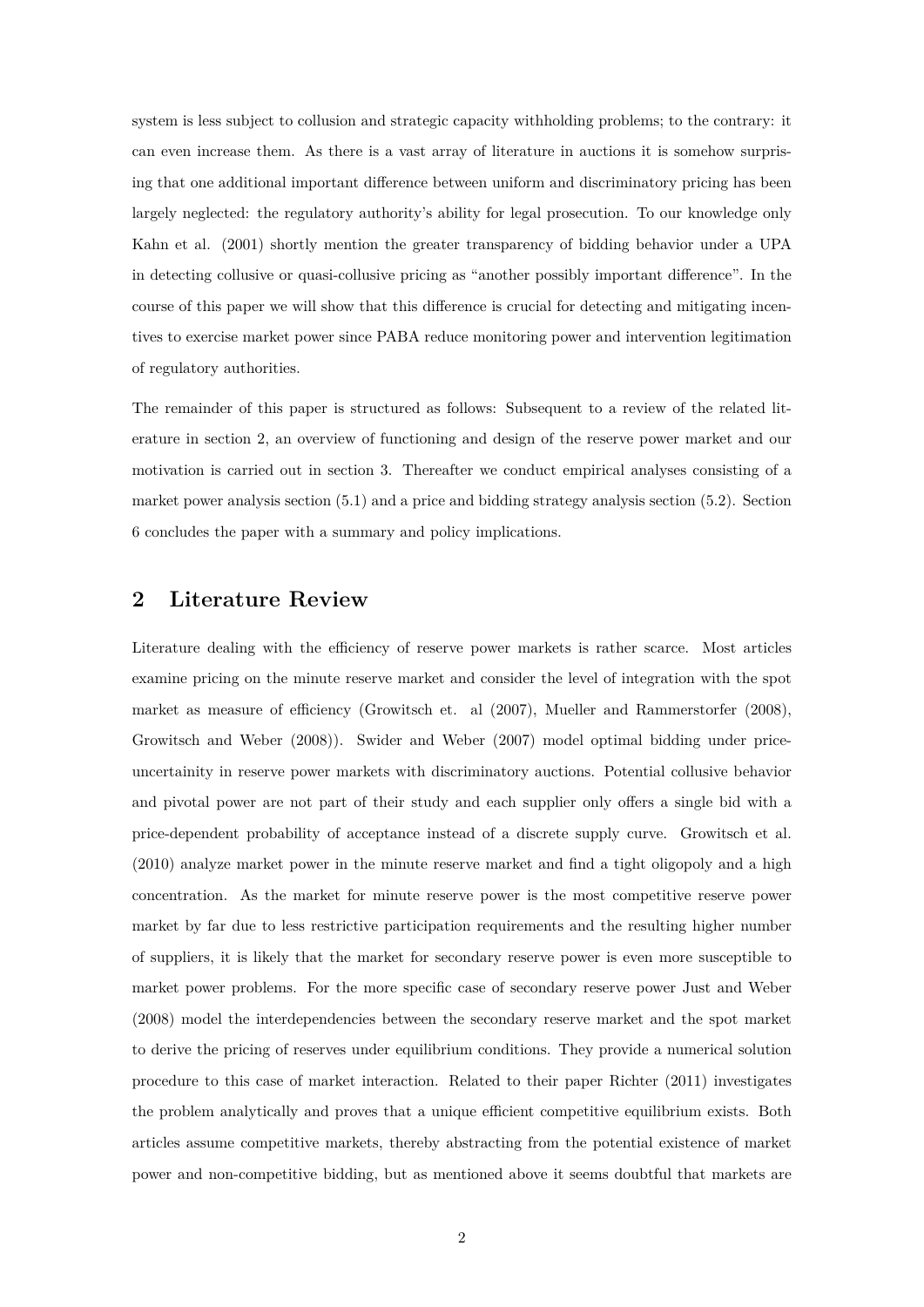system is less subject to collusion and strategic capacity withholding problems; to the contrary: it can even increase them. As there is a vast array of literature in auctions it is somehow surprising that one additional important difference between uniform and discriminatory pricing has been largely neglected: the regulatory authority's ability for legal prosecution. To our knowledge only Kahn et al. (2001) shortly mention the greater transparency of bidding behavior under a UPA in detecting collusive or quasi-collusive pricing as "another possibly important difference". In the course of this paper we will show that this difference is crucial for detecting and mitigating incentives to exercise market power since PABA reduce monitoring power and intervention legitimation of regulatory authorities.

The remainder of this paper is structured as follows: Subsequent to a review of the related literature in section 2, an overview of functioning and design of the reserve power market and our motivation is carried out in section 3. Thereafter we conduct empirical analyses consisting of a market power analysis section (5.1) and a price and bidding strategy analysis section (5.2). Section 6 concludes the paper with a summary and policy implications.

### **2 Literature Review**

Literature dealing with the efficiency of reserve power markets is rather scarce. Most articles examine pricing on the minute reserve market and consider the level of integration with the spot market as measure of efficiency (Growitsch et. al (2007), Mueller and Rammerstorfer (2008), Growitsch and Weber (2008)). Swider and Weber (2007) model optimal bidding under priceuncertainity in reserve power markets with discriminatory auctions. Potential collusive behavior and pivotal power are not part of their study and each supplier only offers a single bid with a price-dependent probability of acceptance instead of a discrete supply curve. Growitsch et al. (2010) analyze market power in the minute reserve market and find a tight oligopoly and a high concentration. As the market for minute reserve power is the most competitive reserve power market by far due to less restrictive participation requirements and the resulting higher number of suppliers, it is likely that the market for secondary reserve power is even more susceptible to market power problems. For the more specific case of secondary reserve power Just and Weber (2008) model the interdependencies between the secondary reserve market and the spot market to derive the pricing of reserves under equilibrium conditions. They provide a numerical solution procedure to this case of market interaction. Related to their paper Richter (2011) investigates the problem analytically and proves that a unique efficient competitive equilibrium exists. Both articles assume competitive markets, thereby abstracting from the potential existence of market power and non-competitive bidding, but as mentioned above it seems doubtful that markets are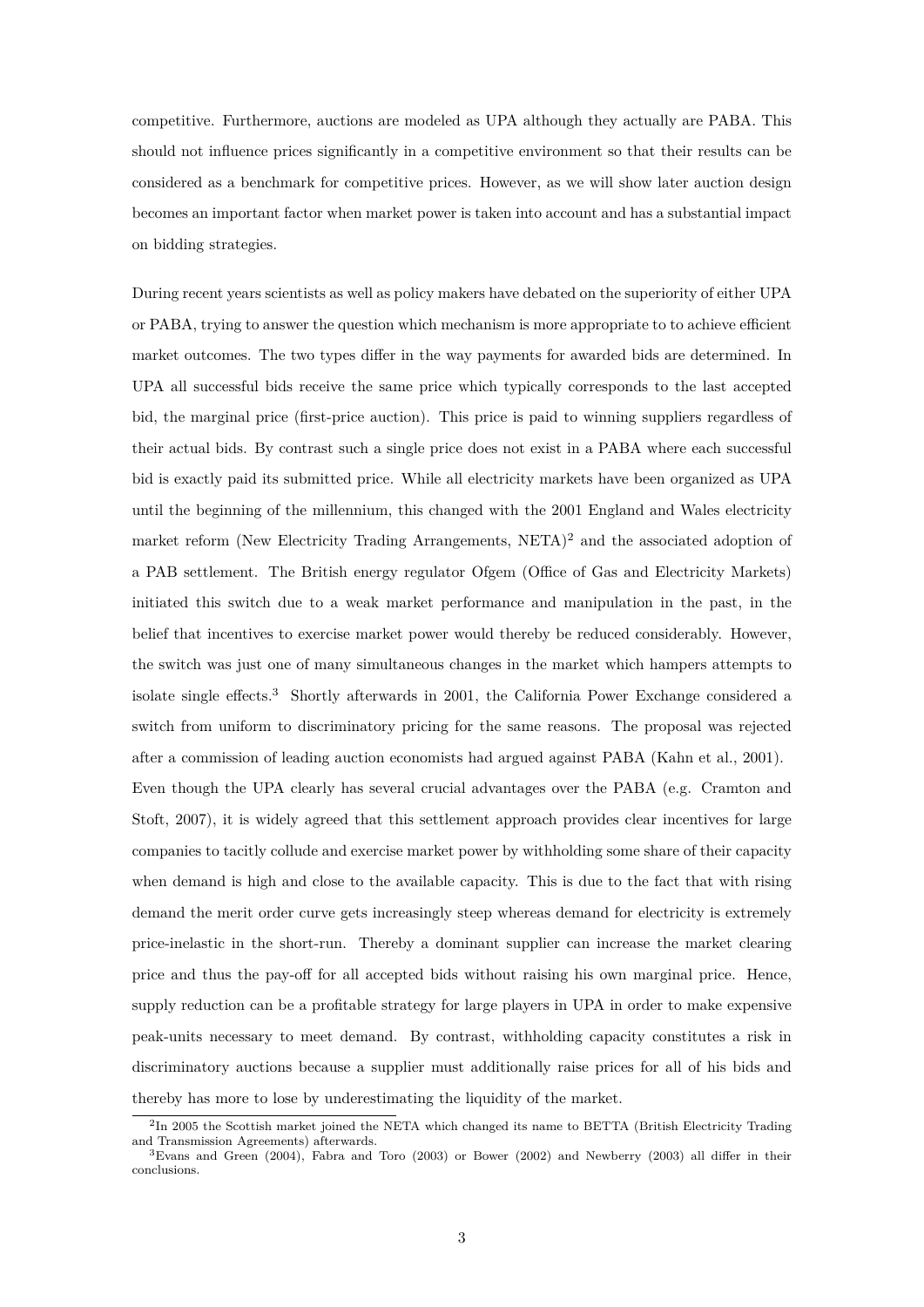competitive. Furthermore, auctions are modeled as UPA although they actually are PABA. This should not influence prices significantly in a competitive environment so that their results can be considered as a benchmark for competitive prices. However, as we will show later auction design becomes an important factor when market power is taken into account and has a substantial impact on bidding strategies.

During recent years scientists as well as policy makers have debated on the superiority of either UPA or PABA, trying to answer the question which mechanism is more appropriate to to achieve efficient market outcomes. The two types differ in the way payments for awarded bids are determined. In UPA all successful bids receive the same price which typically corresponds to the last accepted bid, the marginal price (first-price auction). This price is paid to winning suppliers regardless of their actual bids. By contrast such a single price does not exist in a PABA where each successful bid is exactly paid its submitted price. While all electricity markets have been organized as UPA until the beginning of the millennium, this changed with the 2001 England and Wales electricity market reform (New Electricity Trading Arrangements,  $NETA)^2$  and the associated adoption of a PAB settlement. The British energy regulator Ofgem (Office of Gas and Electricity Markets) initiated this switch due to a weak market performance and manipulation in the past, in the belief that incentives to exercise market power would thereby be reduced considerably. However, the switch was just one of many simultaneous changes in the market which hampers attempts to isolate single effects.<sup>3</sup> Shortly afterwards in 2001, the California Power Exchange considered a switch from uniform to discriminatory pricing for the same reasons. The proposal was rejected after a commission of leading auction economists had argued against PABA (Kahn et al., 2001). Even though the UPA clearly has several crucial advantages over the PABA (e.g. Cramton and Stoft, 2007), it is widely agreed that this settlement approach provides clear incentives for large companies to tacitly collude and exercise market power by withholding some share of their capacity when demand is high and close to the available capacity. This is due to the fact that with rising demand the merit order curve gets increasingly steep whereas demand for electricity is extremely price-inelastic in the short-run. Thereby a dominant supplier can increase the market clearing price and thus the pay-off for all accepted bids without raising his own marginal price. Hence, supply reduction can be a profitable strategy for large players in UPA in order to make expensive peak-units necessary to meet demand. By contrast, withholding capacity constitutes a risk in discriminatory auctions because a supplier must additionally raise prices for all of his bids and thereby has more to lose by underestimating the liquidity of the market.

<sup>&</sup>lt;sup>2</sup>In 2005 the Scottish market joined the NETA which changed its name to BETTA (British Electricity Trading and Transmission Agreements) afterwards.

<sup>3</sup>Evans and Green (2004), Fabra and Toro (2003) or Bower (2002) and Newberry (2003) all differ in their conclusions.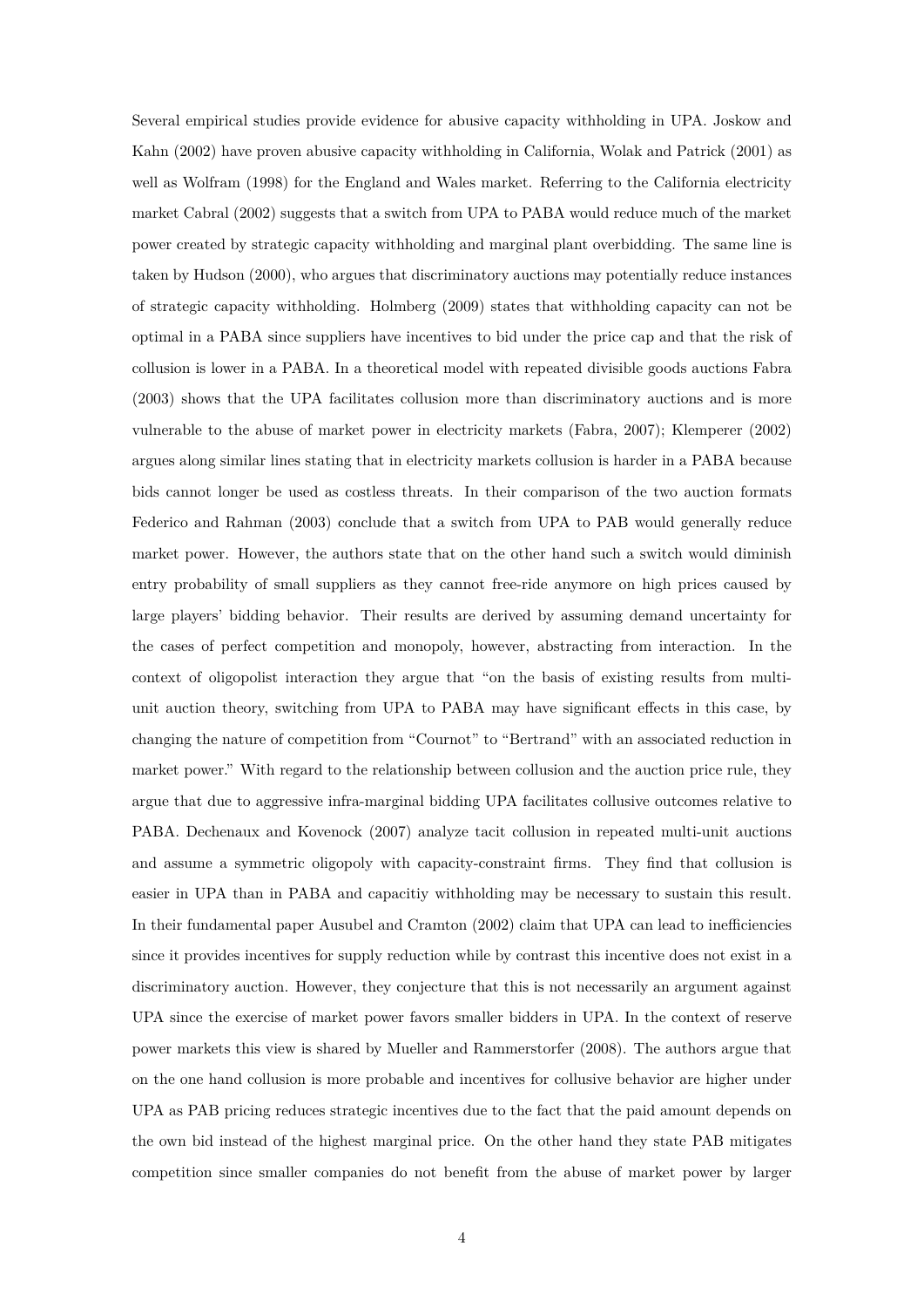Several empirical studies provide evidence for abusive capacity withholding in UPA. Joskow and Kahn (2002) have proven abusive capacity withholding in California, Wolak and Patrick (2001) as well as Wolfram (1998) for the England and Wales market. Referring to the California electricity market Cabral (2002) suggests that a switch from UPA to PABA would reduce much of the market power created by strategic capacity withholding and marginal plant overbidding. The same line is taken by Hudson (2000), who argues that discriminatory auctions may potentially reduce instances of strategic capacity withholding. Holmberg (2009) states that withholding capacity can not be optimal in a PABA since suppliers have incentives to bid under the price cap and that the risk of collusion is lower in a PABA. In a theoretical model with repeated divisible goods auctions Fabra (2003) shows that the UPA facilitates collusion more than discriminatory auctions and is more vulnerable to the abuse of market power in electricity markets (Fabra, 2007); Klemperer (2002) argues along similar lines stating that in electricity markets collusion is harder in a PABA because bids cannot longer be used as costless threats. In their comparison of the two auction formats Federico and Rahman (2003) conclude that a switch from UPA to PAB would generally reduce market power. However, the authors state that on the other hand such a switch would diminish entry probability of small suppliers as they cannot free-ride anymore on high prices caused by large players' bidding behavior. Their results are derived by assuming demand uncertainty for the cases of perfect competition and monopoly, however, abstracting from interaction. In the context of oligopolist interaction they argue that "on the basis of existing results from multiunit auction theory, switching from UPA to PABA may have significant effects in this case, by changing the nature of competition from "Cournot" to "Bertrand" with an associated reduction in market power." With regard to the relationship between collusion and the auction price rule, they argue that due to aggressive infra-marginal bidding UPA facilitates collusive outcomes relative to PABA. Dechenaux and Kovenock (2007) analyze tacit collusion in repeated multi-unit auctions and assume a symmetric oligopoly with capacity-constraint firms. They find that collusion is easier in UPA than in PABA and capacitiy withholding may be necessary to sustain this result. In their fundamental paper Ausubel and Cramton (2002) claim that UPA can lead to inefficiencies since it provides incentives for supply reduction while by contrast this incentive does not exist in a discriminatory auction. However, they conjecture that this is not necessarily an argument against UPA since the exercise of market power favors smaller bidders in UPA. In the context of reserve power markets this view is shared by Mueller and Rammerstorfer (2008). The authors argue that on the one hand collusion is more probable and incentives for collusive behavior are higher under UPA as PAB pricing reduces strategic incentives due to the fact that the paid amount depends on the own bid instead of the highest marginal price. On the other hand they state PAB mitigates competition since smaller companies do not benefit from the abuse of market power by larger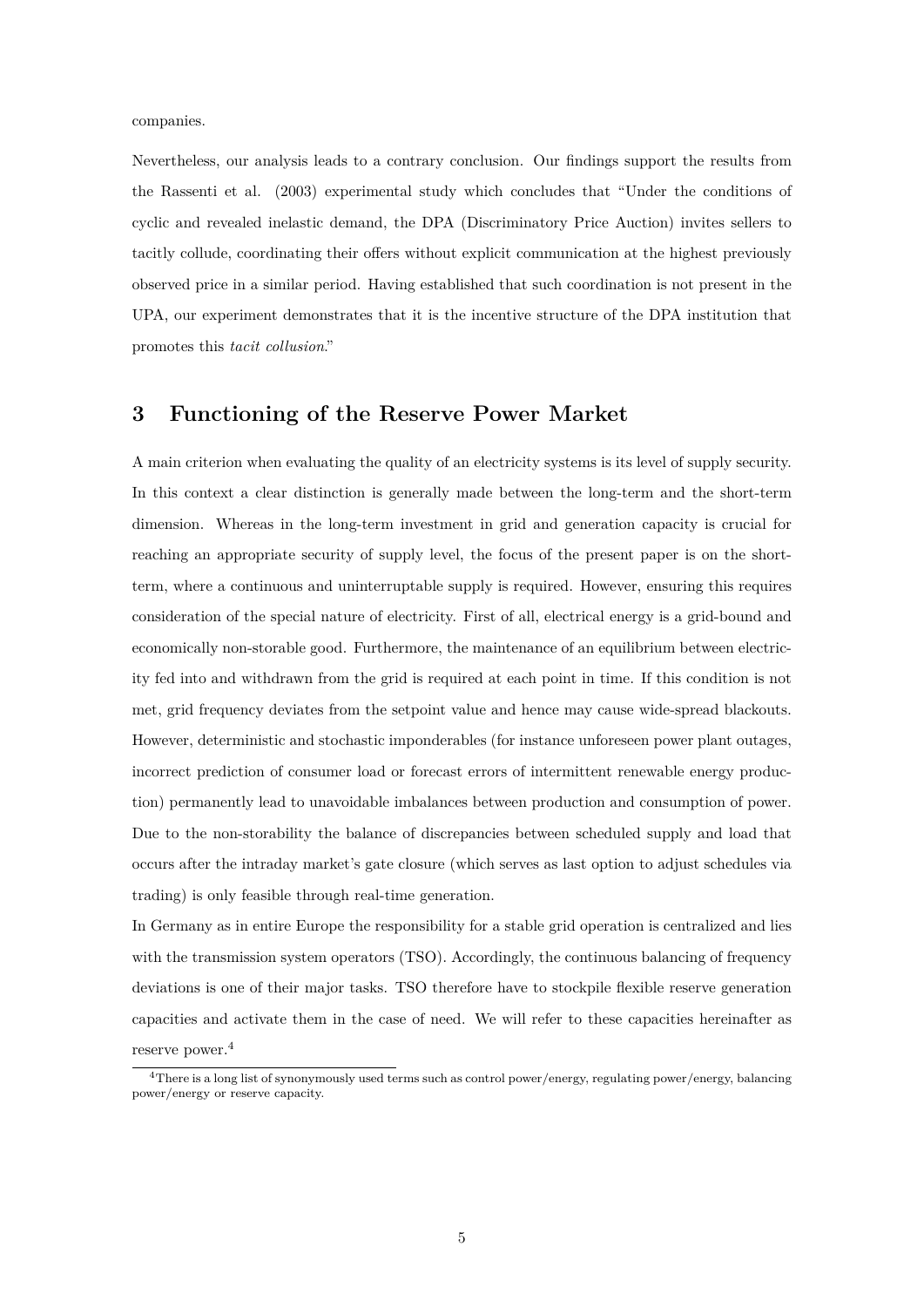companies.

Nevertheless, our analysis leads to a contrary conclusion. Our findings support the results from the Rassenti et al. (2003) experimental study which concludes that "Under the conditions of cyclic and revealed inelastic demand, the DPA (Discriminatory Price Auction) invites sellers to tacitly collude, coordinating their offers without explicit communication at the highest previously observed price in a similar period. Having established that such coordination is not present in the UPA, our experiment demonstrates that it is the incentive structure of the DPA institution that promotes this *tacit collusion*."

### **3 Functioning of the Reserve Power Market**

A main criterion when evaluating the quality of an electricity systems is its level of supply security. In this context a clear distinction is generally made between the long-term and the short-term dimension. Whereas in the long-term investment in grid and generation capacity is crucial for reaching an appropriate security of supply level, the focus of the present paper is on the shortterm, where a continuous and uninterruptable supply is required. However, ensuring this requires consideration of the special nature of electricity. First of all, electrical energy is a grid-bound and economically non-storable good. Furthermore, the maintenance of an equilibrium between electricity fed into and withdrawn from the grid is required at each point in time. If this condition is not met, grid frequency deviates from the setpoint value and hence may cause wide-spread blackouts. However, deterministic and stochastic imponderables (for instance unforeseen power plant outages, incorrect prediction of consumer load or forecast errors of intermittent renewable energy production) permanently lead to unavoidable imbalances between production and consumption of power. Due to the non-storability the balance of discrepancies between scheduled supply and load that occurs after the intraday market's gate closure (which serves as last option to adjust schedules via trading) is only feasible through real-time generation.

In Germany as in entire Europe the responsibility for a stable grid operation is centralized and lies with the transmission system operators (TSO). Accordingly, the continuous balancing of frequency deviations is one of their major tasks. TSO therefore have to stockpile flexible reserve generation capacities and activate them in the case of need. We will refer to these capacities hereinafter as reserve power.<sup>4</sup>

<sup>4</sup>There is a long list of synonymously used terms such as control power/energy, regulating power/energy, balancing power/energy or reserve capacity.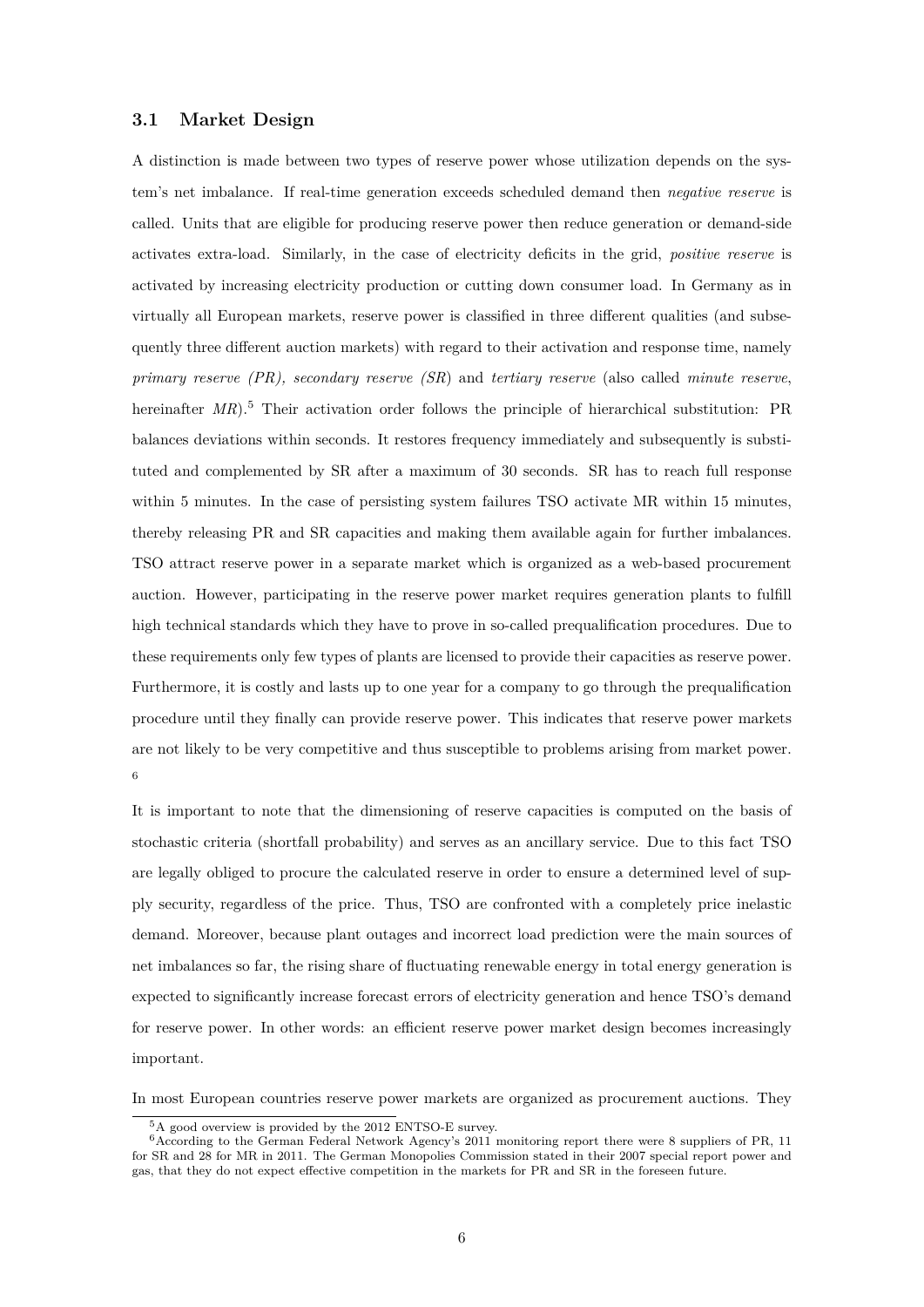#### **3.1 Market Design**

A distinction is made between two types of reserve power whose utilization depends on the system's net imbalance. If real-time generation exceeds scheduled demand then *negative reserve* is called. Units that are eligible for producing reserve power then reduce generation or demand-side activates extra-load. Similarly, in the case of electricity deficits in the grid, *positive reserve* is activated by increasing electricity production or cutting down consumer load. In Germany as in virtually all European markets, reserve power is classified in three different qualities (and subsequently three different auction markets) with regard to their activation and response time, namely *primary reserve (PR), secondary reserve (SR*) and *tertiary reserve* (also called *minute reserve*, hereinafter *MR*).<sup>5</sup> Their activation order follows the principle of hierarchical substitution: PR balances deviations within seconds. It restores frequency immediately and subsequently is substituted and complemented by SR after a maximum of 30 seconds. SR has to reach full response within 5 minutes. In the case of persisting system failures TSO activate MR within 15 minutes, thereby releasing PR and SR capacities and making them available again for further imbalances. TSO attract reserve power in a separate market which is organized as a web-based procurement auction. However, participating in the reserve power market requires generation plants to fulfill high technical standards which they have to prove in so-called prequalification procedures. Due to these requirements only few types of plants are licensed to provide their capacities as reserve power. Furthermore, it is costly and lasts up to one year for a company to go through the prequalification procedure until they finally can provide reserve power. This indicates that reserve power markets are not likely to be very competitive and thus susceptible to problems arising from market power. 6

It is important to note that the dimensioning of reserve capacities is computed on the basis of stochastic criteria (shortfall probability) and serves as an ancillary service. Due to this fact TSO are legally obliged to procure the calculated reserve in order to ensure a determined level of supply security, regardless of the price. Thus, TSO are confronted with a completely price inelastic demand. Moreover, because plant outages and incorrect load prediction were the main sources of net imbalances so far, the rising share of fluctuating renewable energy in total energy generation is expected to significantly increase forecast errors of electricity generation and hence TSO's demand for reserve power. In other words: an efficient reserve power market design becomes increasingly important.

In most European countries reserve power markets are organized as procurement auctions. They

<sup>5</sup>A good overview is provided by the 2012 ENTSO-E survey.

 $6$ According to the German Federal Network Agency's 2011 monitoring report there were 8 suppliers of PR, 11 for SR and 28 for MR in 2011. The German Monopolies Commission stated in their 2007 special report power and gas, that they do not expect effective competition in the markets for PR and SR in the foreseen future.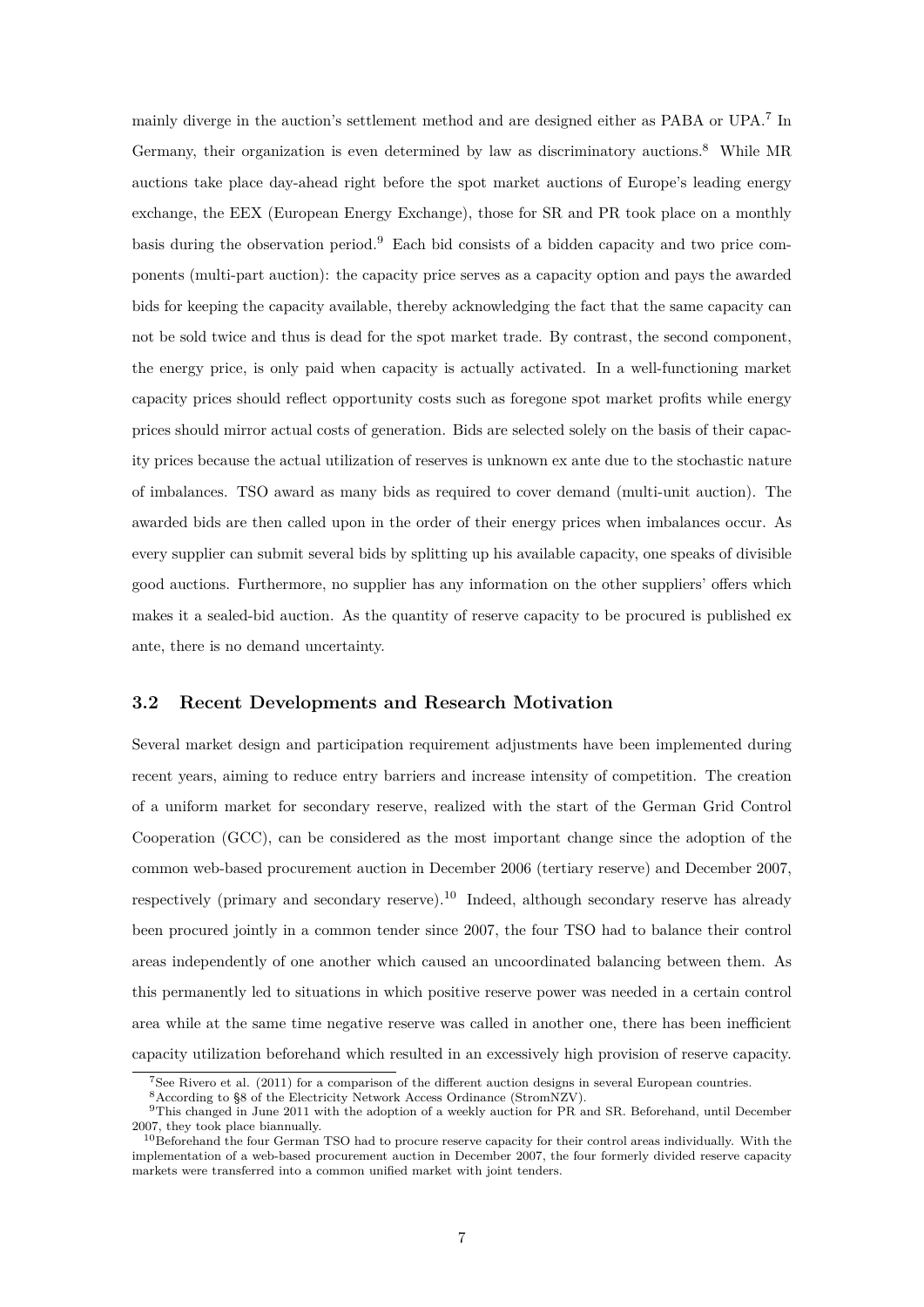mainly diverge in the auction's settlement method and are designed either as PABA or UPA.<sup>7</sup> In Germany, their organization is even determined by law as discriminatory auctions.<sup>8</sup> While MR auctions take place day-ahead right before the spot market auctions of Europe's leading energy exchange, the EEX (European Energy Exchange), those for SR and PR took place on a monthly basis during the observation period.<sup>9</sup> Each bid consists of a bidden capacity and two price components (multi-part auction): the capacity price serves as a capacity option and pays the awarded bids for keeping the capacity available, thereby acknowledging the fact that the same capacity can not be sold twice and thus is dead for the spot market trade. By contrast, the second component, the energy price, is only paid when capacity is actually activated. In a well-functioning market capacity prices should reflect opportunity costs such as foregone spot market profits while energy prices should mirror actual costs of generation. Bids are selected solely on the basis of their capacity prices because the actual utilization of reserves is unknown ex ante due to the stochastic nature of imbalances. TSO award as many bids as required to cover demand (multi-unit auction). The awarded bids are then called upon in the order of their energy prices when imbalances occur. As every supplier can submit several bids by splitting up his available capacity, one speaks of divisible good auctions. Furthermore, no supplier has any information on the other suppliers' offers which makes it a sealed-bid auction. As the quantity of reserve capacity to be procured is published ex ante, there is no demand uncertainty.

#### **3.2 Recent Developments and Research Motivation**

Several market design and participation requirement adjustments have been implemented during recent years, aiming to reduce entry barriers and increase intensity of competition. The creation of a uniform market for secondary reserve, realized with the start of the German Grid Control Cooperation (GCC), can be considered as the most important change since the adoption of the common web-based procurement auction in December 2006 (tertiary reserve) and December 2007, respectively (primary and secondary reserve).<sup>10</sup> Indeed, although secondary reserve has already been procured jointly in a common tender since 2007, the four TSO had to balance their control areas independently of one another which caused an uncoordinated balancing between them. As this permanently led to situations in which positive reserve power was needed in a certain control area while at the same time negative reserve was called in another one, there has been inefficient capacity utilization beforehand which resulted in an excessively high provision of reserve capacity.

<sup>7</sup>See Rivero et al. (2011) for a comparison of the different auction designs in several European countries.

<sup>8</sup>According to §8 of the Electricity Network Access Ordinance (StromNZV).

<sup>9</sup>This changed in June 2011 with the adoption of a weekly auction for PR and SR. Beforehand, until December 2007, they took place biannually.

 $10$ Beforehand the four German TSO had to procure reserve capacity for their control areas individually. With the implementation of a web-based procurement auction in December 2007, the four formerly divided reserve capacity markets were transferred into a common unified market with joint tenders.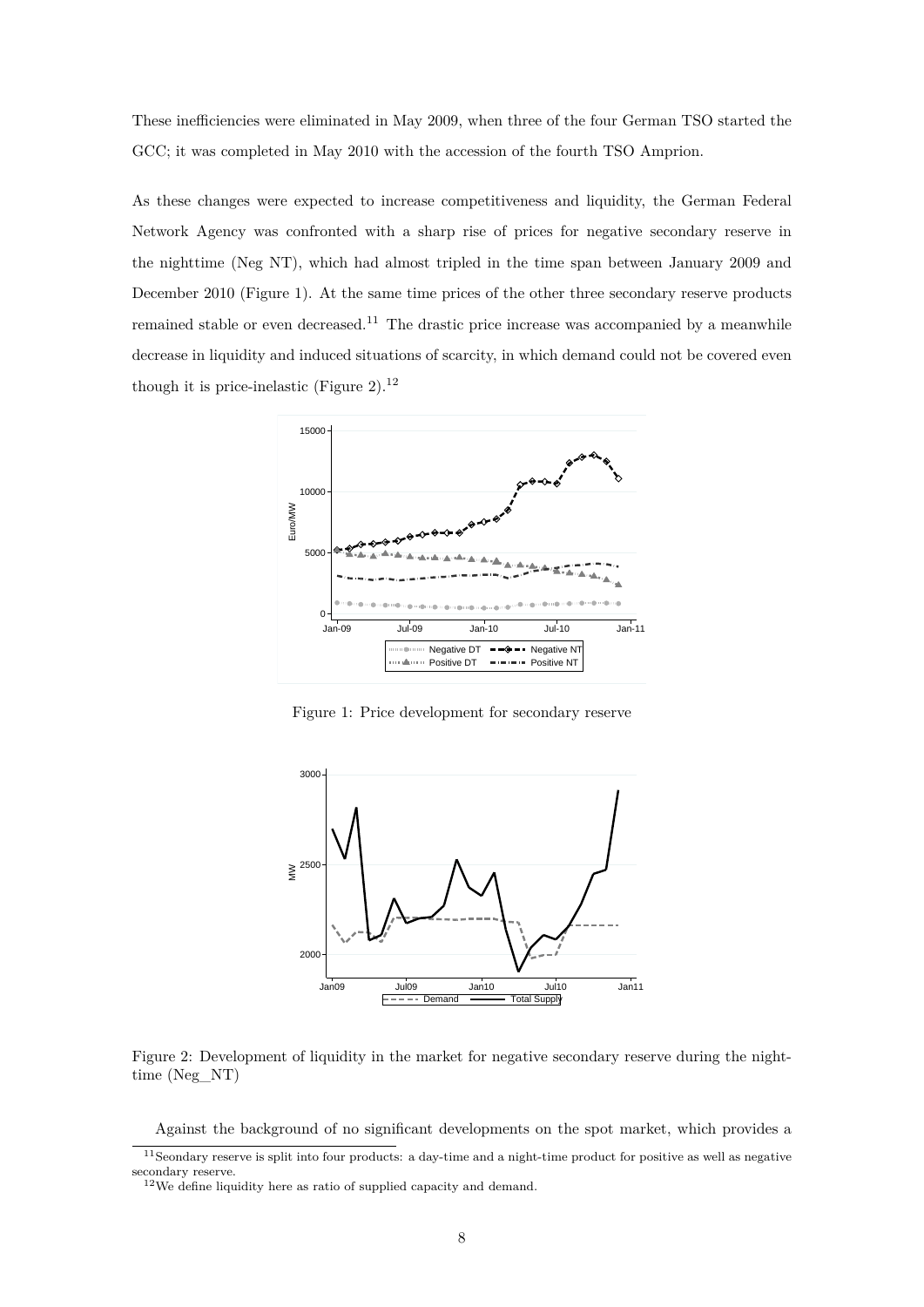These inefficiencies were eliminated in May 2009, when three of the four German TSO started the GCC; it was completed in May 2010 with the accession of the fourth TSO Amprion.

As these changes were expected to increase competitiveness and liquidity, the German Federal Network Agency was confronted with a sharp rise of prices for negative secondary reserve in the nighttime (Neg NT), which had almost tripled in the time span between January 2009 and December 2010 (Figure 1). At the same time prices of the other three secondary reserve products remained stable or even decreased.<sup>11</sup> The drastic price increase was accompanied by a meanwhile decrease in liquidity and induced situations of scarcity, in which demand could not be covered even though it is price-inelastic (Figure 2).<sup>12</sup>



Figure 1: Price development for secondary reserve



Figure 2: Development of liquidity in the market for negative secondary reserve during the nighttime (Neg\_NT)

Against the background of no significant developments on the spot market, which provides a

<sup>11</sup>Seondary reserve is split into four products: a day-time and a night-time product for positive as well as negative secondary reserve.

<sup>&</sup>lt;sup>12</sup>We define liquidity here as ratio of supplied capacity and demand.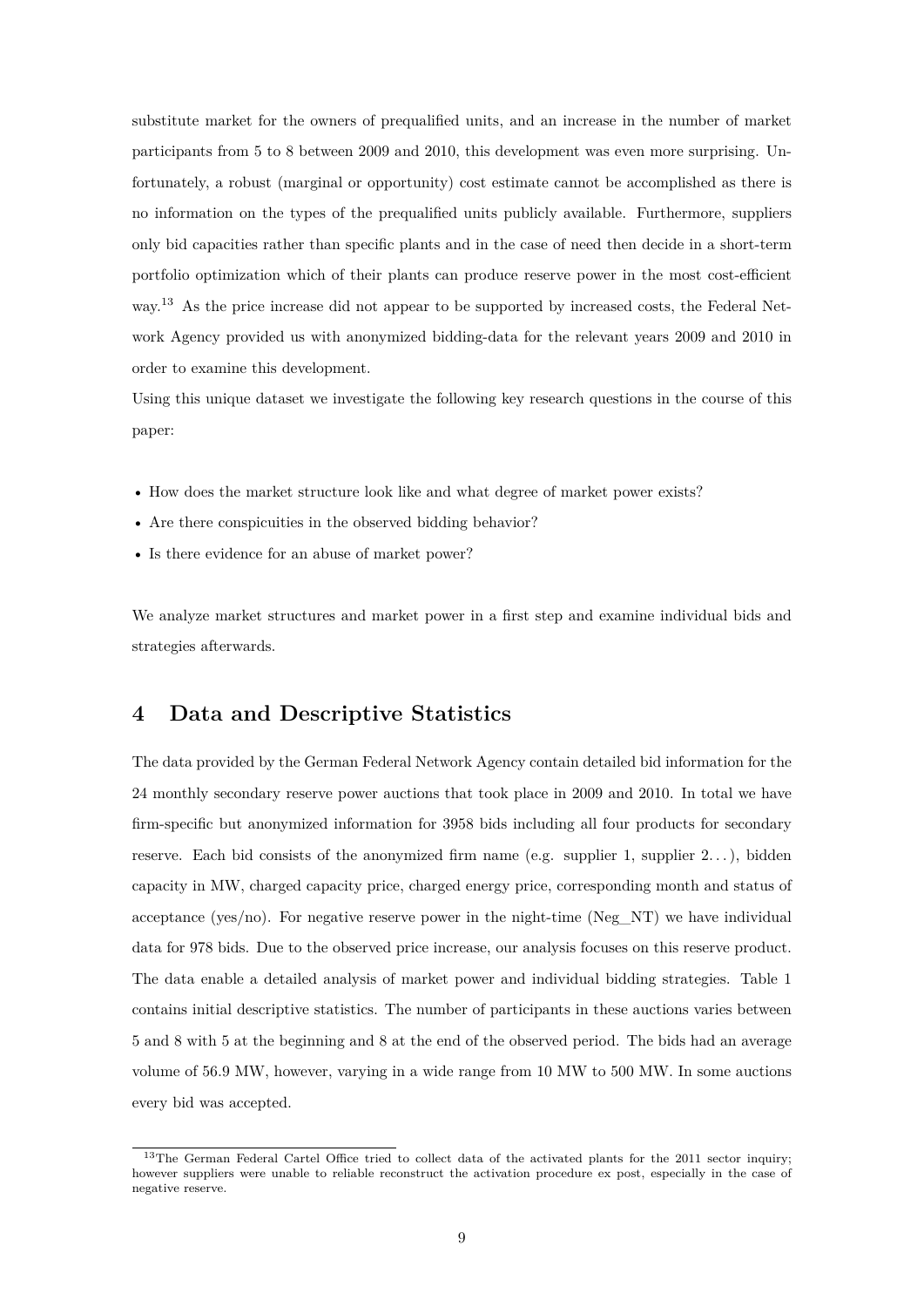substitute market for the owners of prequalified units, and an increase in the number of market participants from 5 to 8 between 2009 and 2010, this development was even more surprising. Unfortunately, a robust (marginal or opportunity) cost estimate cannot be accomplished as there is no information on the types of the prequalified units publicly available. Furthermore, suppliers only bid capacities rather than specific plants and in the case of need then decide in a short-term portfolio optimization which of their plants can produce reserve power in the most cost-efficient way.<sup>13</sup> As the price increase did not appear to be supported by increased costs, the Federal Network Agency provided us with anonymized bidding-data for the relevant years 2009 and 2010 in order to examine this development.

Using this unique dataset we investigate the following key research questions in the course of this paper:

- How does the market structure look like and what degree of market power exists?
- Are there conspicuities in the observed bidding behavior?
- Is there evidence for an abuse of market power?

We analyze market structures and market power in a first step and examine individual bids and strategies afterwards.

### **4 Data and Descriptive Statistics**

The data provided by the German Federal Network Agency contain detailed bid information for the 24 monthly secondary reserve power auctions that took place in 2009 and 2010. In total we have firm-specific but anonymized information for 3958 bids including all four products for secondary reserve. Each bid consists of the anonymized firm name (e.g. supplier 1, supplier  $2...$  ), bidden capacity in MW, charged capacity price, charged energy price, corresponding month and status of acceptance (yes/no). For negative reserve power in the night-time (Neg\_NT) we have individual data for 978 bids. Due to the observed price increase, our analysis focuses on this reserve product. The data enable a detailed analysis of market power and individual bidding strategies. Table 1 contains initial descriptive statistics. The number of participants in these auctions varies between 5 and 8 with 5 at the beginning and 8 at the end of the observed period. The bids had an average volume of 56.9 MW, however, varying in a wide range from 10 MW to 500 MW. In some auctions every bid was accepted.

<sup>&</sup>lt;sup>13</sup>The German Federal Cartel Office tried to collect data of the activated plants for the 2011 sector inquiry; however suppliers were unable to reliable reconstruct the activation procedure ex post, especially in the case of negative reserve.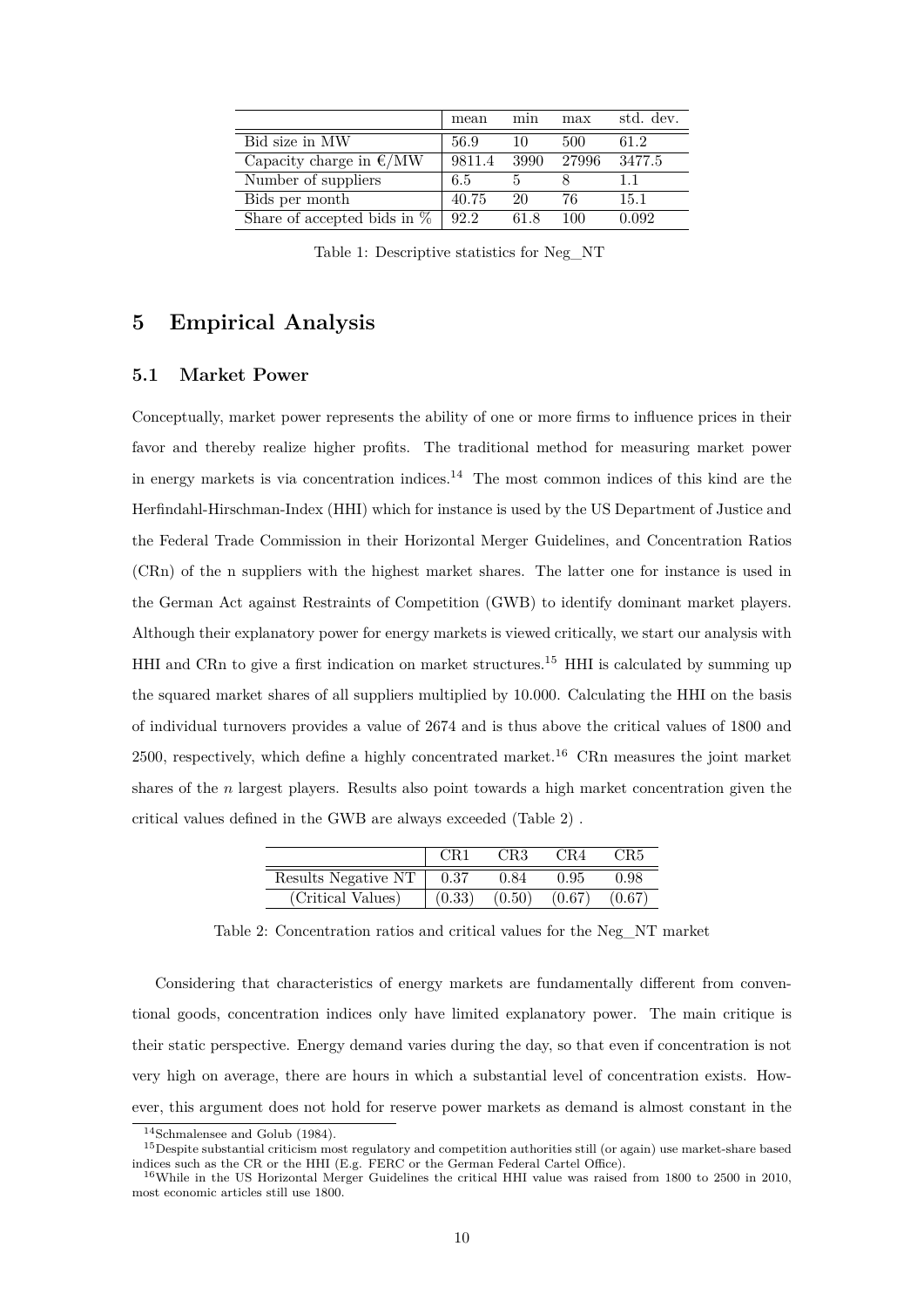|                                  | mean   | mın                      | max   | std. dev. |
|----------------------------------|--------|--------------------------|-------|-----------|
| Bid size in MW                   | 56.9   | $\mathbf{I}(\mathbf{I})$ | 500   | 61.2      |
| Capacity charge in $\epsilon/MW$ | 9811.4 | 3990                     | 27996 | 3477.5    |
| Number of suppliers              | 6.5    |                          |       |           |
| Bids per month                   | 40.75  | 20                       | 76    | 15.1      |
| Share of accepted bids in $\%$   | 92.2   | 61.8                     | 100   | N 092     |

Table 1: Descriptive statistics for Neg\_NT

## **5 Empirical Analysis**

#### **5.1 Market Power**

Conceptually, market power represents the ability of one or more firms to influence prices in their favor and thereby realize higher profits. The traditional method for measuring market power in energy markets is via concentration indices.<sup>14</sup> The most common indices of this kind are the Herfindahl-Hirschman-Index (HHI) which for instance is used by the US Department of Justice and the Federal Trade Commission in their Horizontal Merger Guidelines, and Concentration Ratios (CRn) of the n suppliers with the highest market shares. The latter one for instance is used in the German Act against Restraints of Competition (GWB) to identify dominant market players. Although their explanatory power for energy markets is viewed critically, we start our analysis with HHI and CRn to give a first indication on market structures.<sup>15</sup> HHI is calculated by summing up the squared market shares of all suppliers multiplied by 10.000. Calculating the HHI on the basis of individual turnovers provides a value of 2674 and is thus above the critical values of 1800 and 2500, respectively, which define a highly concentrated market.<sup>16</sup> CRn measures the joint market shares of the *n* largest players. Results also point towards a high market concentration given the critical values defined in the GWB are always exceeded (Table 2) .

|                     |        | CR <sub>3</sub> | CR4    | CR5    |
|---------------------|--------|-----------------|--------|--------|
| Results Negative NT | 0.37   | 0.84            | 0.95   | 0.98   |
| (Critical Values)   | (0.33) | (0.50)          | (0.67) | (0.67) |

Table 2: Concentration ratios and critical values for the Neg\_NT market

Considering that characteristics of energy markets are fundamentally different from conventional goods, concentration indices only have limited explanatory power. The main critique is their static perspective. Energy demand varies during the day, so that even if concentration is not very high on average, there are hours in which a substantial level of concentration exists. However, this argument does not hold for reserve power markets as demand is almost constant in the

<sup>14</sup>Schmalensee and Golub (1984).

 $15$ Despite substantial criticism most regulatory and competition authorities still (or again) use market-share based indices such as the CR or the HHI (E.g. FERC or the German Federal Cartel Office).

<sup>&</sup>lt;sup>16</sup>While in the US Horizontal Merger Guidelines the critical HHI value was raised from 1800 to 2500 in 2010, most economic articles still use 1800.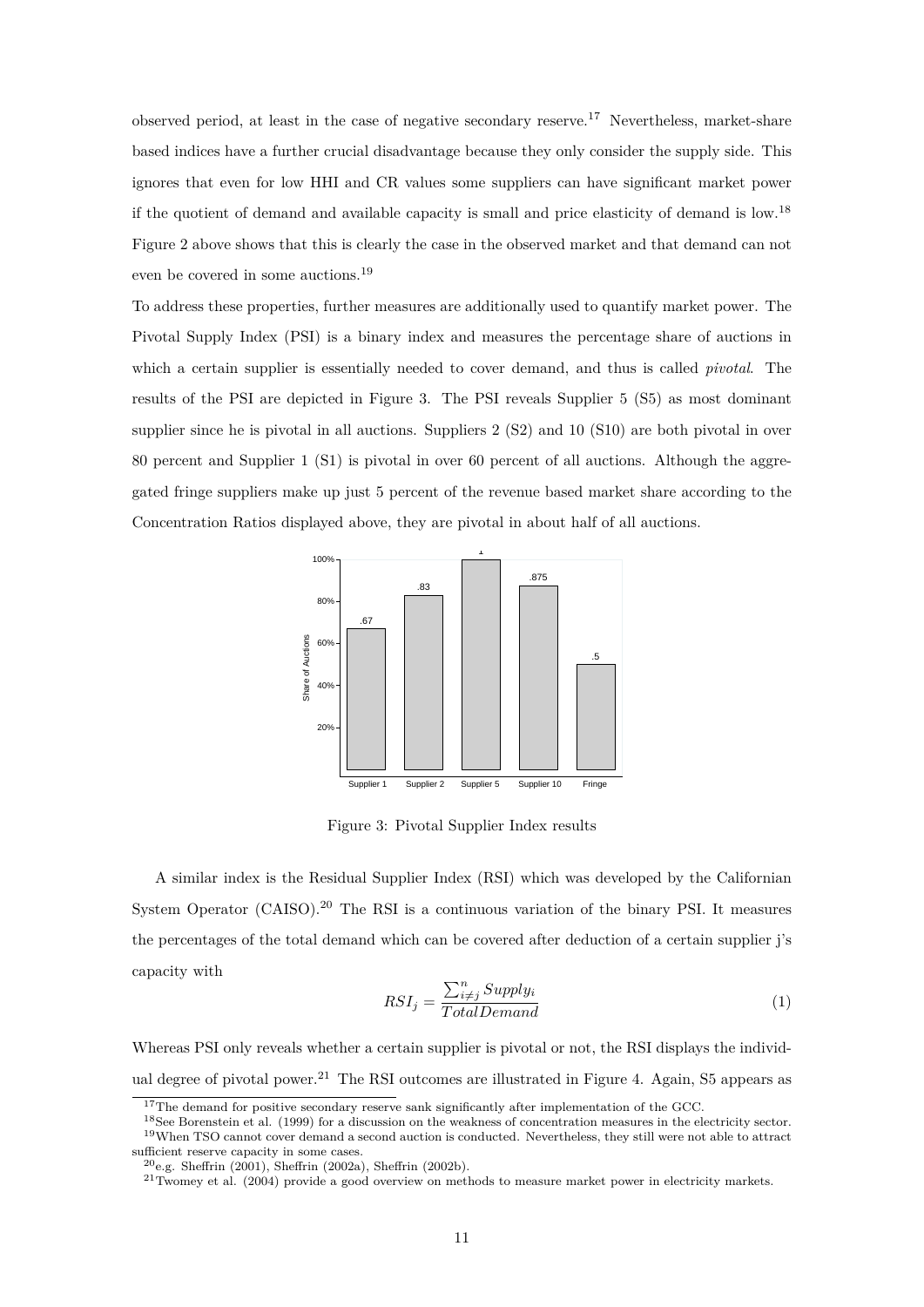observed period, at least in the case of negative secondary reserve.<sup>17</sup> Nevertheless, market-share based indices have a further crucial disadvantage because they only consider the supply side. This ignores that even for low HHI and CR values some suppliers can have significant market power if the quotient of demand and available capacity is small and price elasticity of demand is low.<sup>18</sup> Figure 2 above shows that this is clearly the case in the observed market and that demand can not even be covered in some auctions.<sup>19</sup>

To address these properties, further measures are additionally used to quantify market power. The Pivotal Supply Index (PSI) is a binary index and measures the percentage share of auctions in which a certain supplier is essentially needed to cover demand, and thus is called *pivotal*. The results of the PSI are depicted in Figure 3. The PSI reveals Supplier 5 (S5) as most dominant supplier since he is pivotal in all auctions. Suppliers 2 (S2) and 10 (S10) are both pivotal in over 80 percent and Supplier 1 (S1) is pivotal in over 60 percent of all auctions. Although the aggregated fringe suppliers make up just 5 percent of the revenue based market share according to the Concentration Ratios displayed above, they are pivotal in about half of all auctions.



Figure 3: Pivotal Supplier Index results

A similar index is the Residual Supplier Index (RSI) which was developed by the Californian System Operator (CAISO).<sup>20</sup> The RSI is a continuous variation of the binary PSI. It measures the percentages of the total demand which can be covered after deduction of a certain supplier j's capacity with

$$
RSI_j = \frac{\sum_{i \neq j}^n Supply_i}{TotalDemand}
$$
\n<sup>(1)</sup>

Whereas PSI only reveals whether a certain supplier is pivotal or not, the RSI displays the individual degree of pivotal power.<sup>21</sup> The RSI outcomes are illustrated in Figure 4. Again, S5 appears as

<sup>&</sup>lt;sup>17</sup>The demand for positive secondary reserve sank significantly after implementation of the GCC.

<sup>18</sup>See Borenstein et al. (1999) for a discussion on the weakness of concentration measures in the electricity sector. <sup>19</sup>When TSO cannot cover demand a second auction is conducted. Nevertheless, they still were not able to attract sufficient reserve capacity in some cases.

 $^{20}$ e.g. Sheffrin (2001), Sheffrin (2002a), Sheffrin (2002b).

 $21$ Twomey et al. (2004) provide a good overview on methods to measure market power in electricity markets.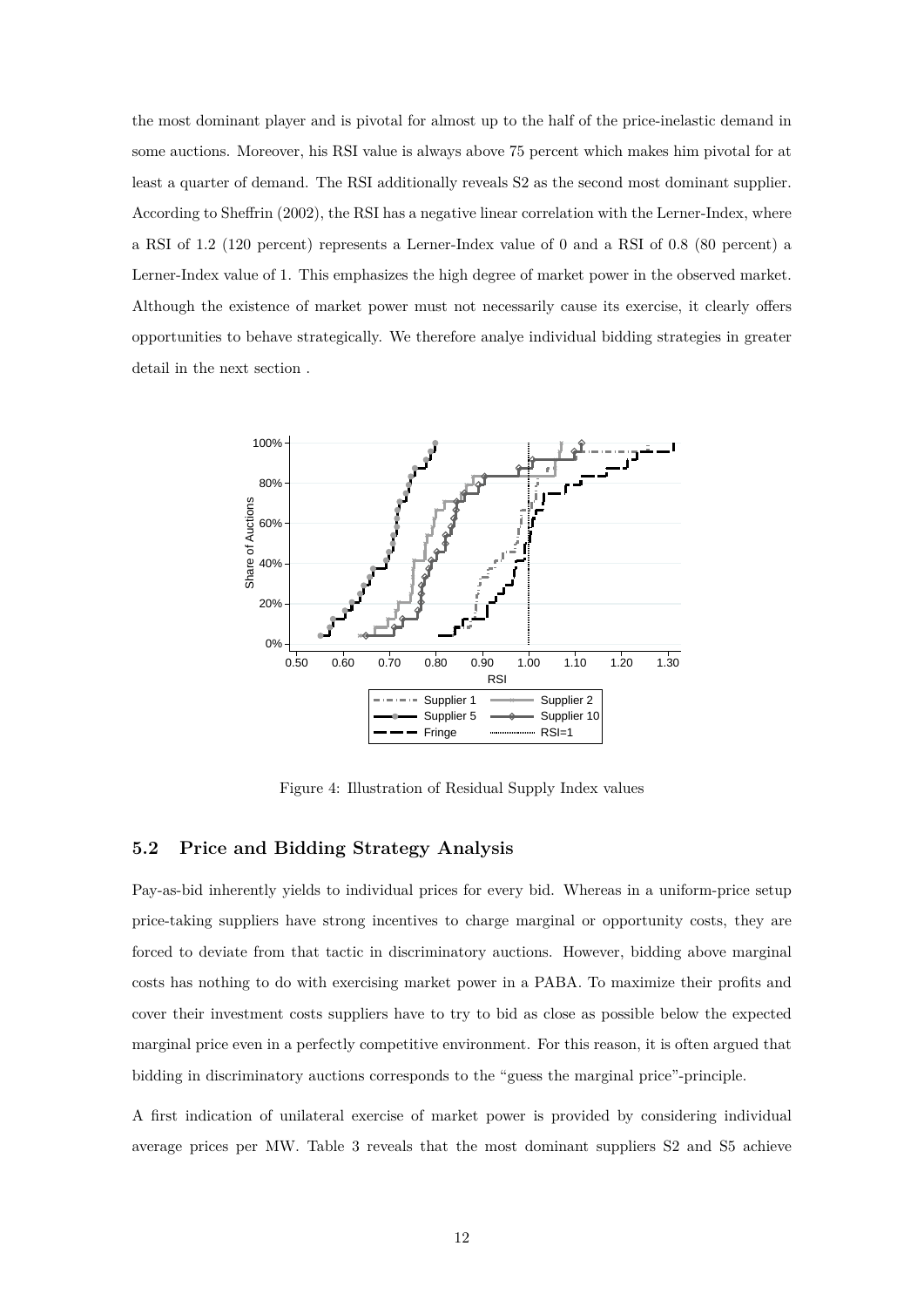the most dominant player and is pivotal for almost up to the half of the price-inelastic demand in some auctions. Moreover, his RSI value is always above 75 percent which makes him pivotal for at least a quarter of demand. The RSI additionally reveals S2 as the second most dominant supplier. According to Sheffrin (2002), the RSI has a negative linear correlation with the Lerner-Index, where a RSI of 1.2 (120 percent) represents a Lerner-Index value of 0 and a RSI of 0.8 (80 percent) a Lerner-Index value of 1. This emphasizes the high degree of market power in the observed market. Although the existence of market power must not necessarily cause its exercise, it clearly offers opportunities to behave strategically. We therefore analye individual bidding strategies in greater detail in the next section .



Figure 4: Illustration of Residual Supply Index values

#### **5.2 Price and Bidding Strategy Analysis**

Pay-as-bid inherently yields to individual prices for every bid. Whereas in a uniform-price setup price-taking suppliers have strong incentives to charge marginal or opportunity costs, they are forced to deviate from that tactic in discriminatory auctions. However, bidding above marginal costs has nothing to do with exercising market power in a PABA. To maximize their profits and cover their investment costs suppliers have to try to bid as close as possible below the expected marginal price even in a perfectly competitive environment. For this reason, it is often argued that bidding in discriminatory auctions corresponds to the "guess the marginal price"-principle.

A first indication of unilateral exercise of market power is provided by considering individual average prices per MW. Table 3 reveals that the most dominant suppliers S2 and S5 achieve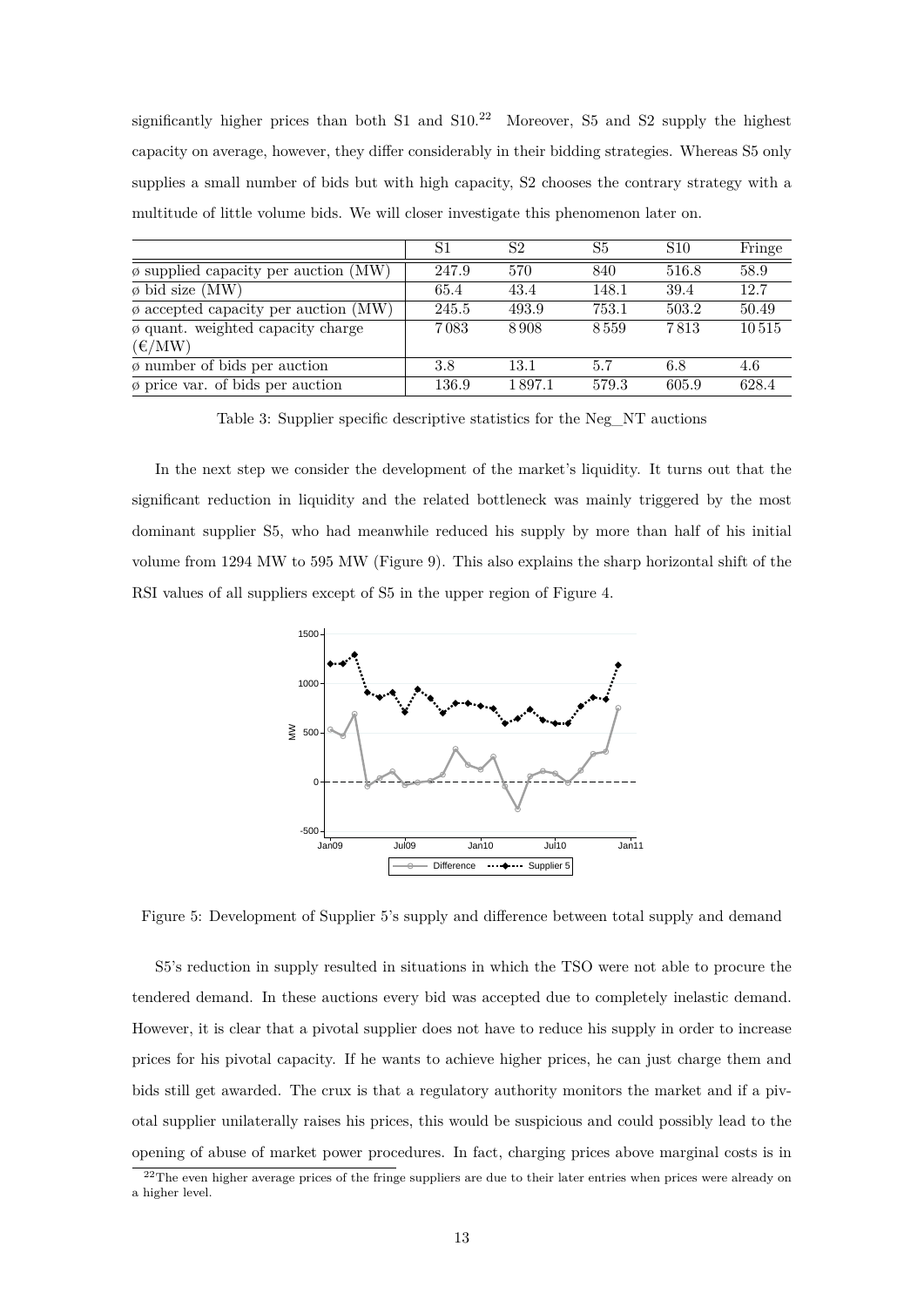significantly higher prices than both S1 and S10.<sup>22</sup> Moreover, S5 and S2 supply the highest capacity on average, however, they differ considerably in their bidding strategies. Whereas S5 only supplies a small number of bids but with high capacity, S2 chooses the contrary strategy with a multitude of little volume bids. We will closer investigate this phenomenon later on.

|                                                                       | S1    | S2     | S5    | S <sub>10</sub> | Fringe |
|-----------------------------------------------------------------------|-------|--------|-------|-----------------|--------|
| $\varphi$ supplied capacity per auction (MW)                          | 247.9 | 570    | 840   | 516.8           | 58.9   |
| $\varnothing$ bid size (MW)                                           | 65.4  | 43.4   | 148.1 | 39.4            | 12.7   |
| $\varphi$ accepted capacity per auction (MW)                          | 245.5 | 493.9  | 753.1 | 503.2           | 50.49  |
| $\phi$ quant. weighted capacity charge<br>$(\text{\textsterling}/MW)$ | 7083  | 8.908  | 8.559 | 7813            | 10515  |
| $\phi$ number of bids per auction                                     | 3.8   | 13.1   | 5.7   | 6.8             | 4.6    |
| $\phi$ price var. of bids per auction                                 | 136.9 | 1897.1 | 579.3 | 605.9           | 628.4  |

Table 3: Supplier specific descriptive statistics for the Neg\_NT auctions

In the next step we consider the development of the market's liquidity. It turns out that the significant reduction in liquidity and the related bottleneck was mainly triggered by the most dominant supplier S5, who had meanwhile reduced his supply by more than half of his initial volume from 1294 MW to 595 MW (Figure 9). This also explains the sharp horizontal shift of the RSI values of all suppliers except of S5 in the upper region of Figure 4.



Figure 5: Development of Supplier 5's supply and difference between total supply and demand

S5's reduction in supply resulted in situations in which the TSO were not able to procure the tendered demand. In these auctions every bid was accepted due to completely inelastic demand. However, it is clear that a pivotal supplier does not have to reduce his supply in order to increase prices for his pivotal capacity. If he wants to achieve higher prices, he can just charge them and bids still get awarded. The crux is that a regulatory authority monitors the market and if a pivotal supplier unilaterally raises his prices, this would be suspicious and could possibly lead to the opening of abuse of market power procedures. In fact, charging prices above marginal costs is in

 $22$ The even higher average prices of the fringe suppliers are due to their later entries when prices were already on a higher level.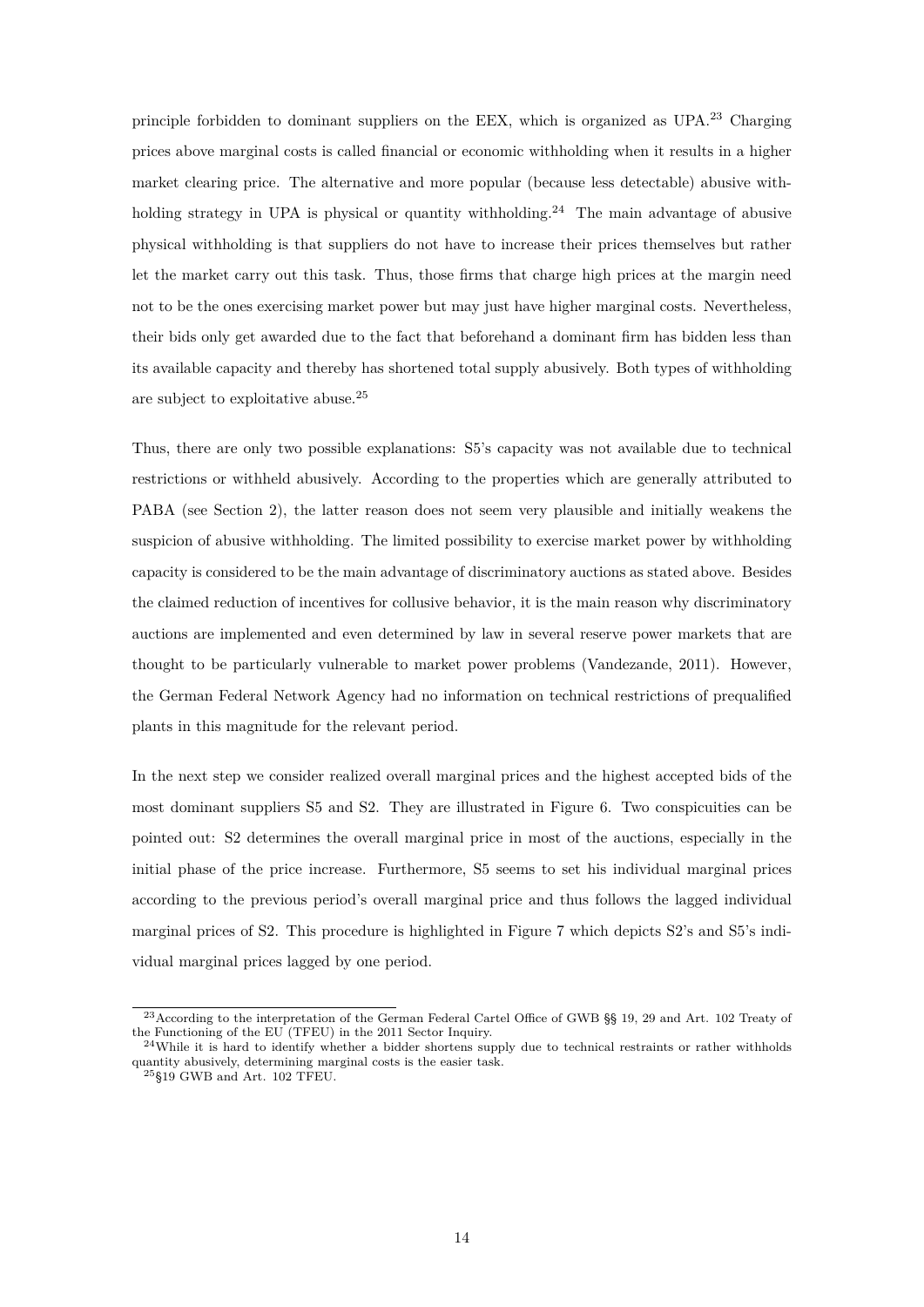principle forbidden to dominant suppliers on the EEX, which is organized as UPA.<sup>23</sup> Charging prices above marginal costs is called financial or economic withholding when it results in a higher market clearing price. The alternative and more popular (because less detectable) abusive withholding strategy in UPA is physical or quantity withholding.<sup>24</sup> The main advantage of abusive physical withholding is that suppliers do not have to increase their prices themselves but rather let the market carry out this task. Thus, those firms that charge high prices at the margin need not to be the ones exercising market power but may just have higher marginal costs. Nevertheless, their bids only get awarded due to the fact that beforehand a dominant firm has bidden less than its available capacity and thereby has shortened total supply abusively. Both types of withholding are subject to exploitative abuse.<sup>25</sup>

Thus, there are only two possible explanations: S5's capacity was not available due to technical restrictions or withheld abusively. According to the properties which are generally attributed to PABA (see Section 2), the latter reason does not seem very plausible and initially weakens the suspicion of abusive withholding. The limited possibility to exercise market power by withholding capacity is considered to be the main advantage of discriminatory auctions as stated above. Besides the claimed reduction of incentives for collusive behavior, it is the main reason why discriminatory auctions are implemented and even determined by law in several reserve power markets that are thought to be particularly vulnerable to market power problems (Vandezande, 2011). However, the German Federal Network Agency had no information on technical restrictions of prequalified plants in this magnitude for the relevant period.

In the next step we consider realized overall marginal prices and the highest accepted bids of the most dominant suppliers S5 and S2. They are illustrated in Figure 6. Two conspicuities can be pointed out: S2 determines the overall marginal price in most of the auctions, especially in the initial phase of the price increase. Furthermore, S5 seems to set his individual marginal prices according to the previous period's overall marginal price and thus follows the lagged individual marginal prices of S2. This procedure is highlighted in Figure 7 which depicts S2's and S5's individual marginal prices lagged by one period.

<sup>&</sup>lt;sup>23</sup> According to the interpretation of the German Federal Cartel Office of GWB §§ 19, 29 and Art. 102 Treaty of the Functioning of the EU (TFEU) in the 2011 Sector Inquiry.

 $24$ While it is hard to identify whether a bidder shortens supply due to technical restraints or rather withholds quantity abusively, determining marginal costs is the easier task.

<sup>25</sup>§19 GWB and Art. 102 TFEU.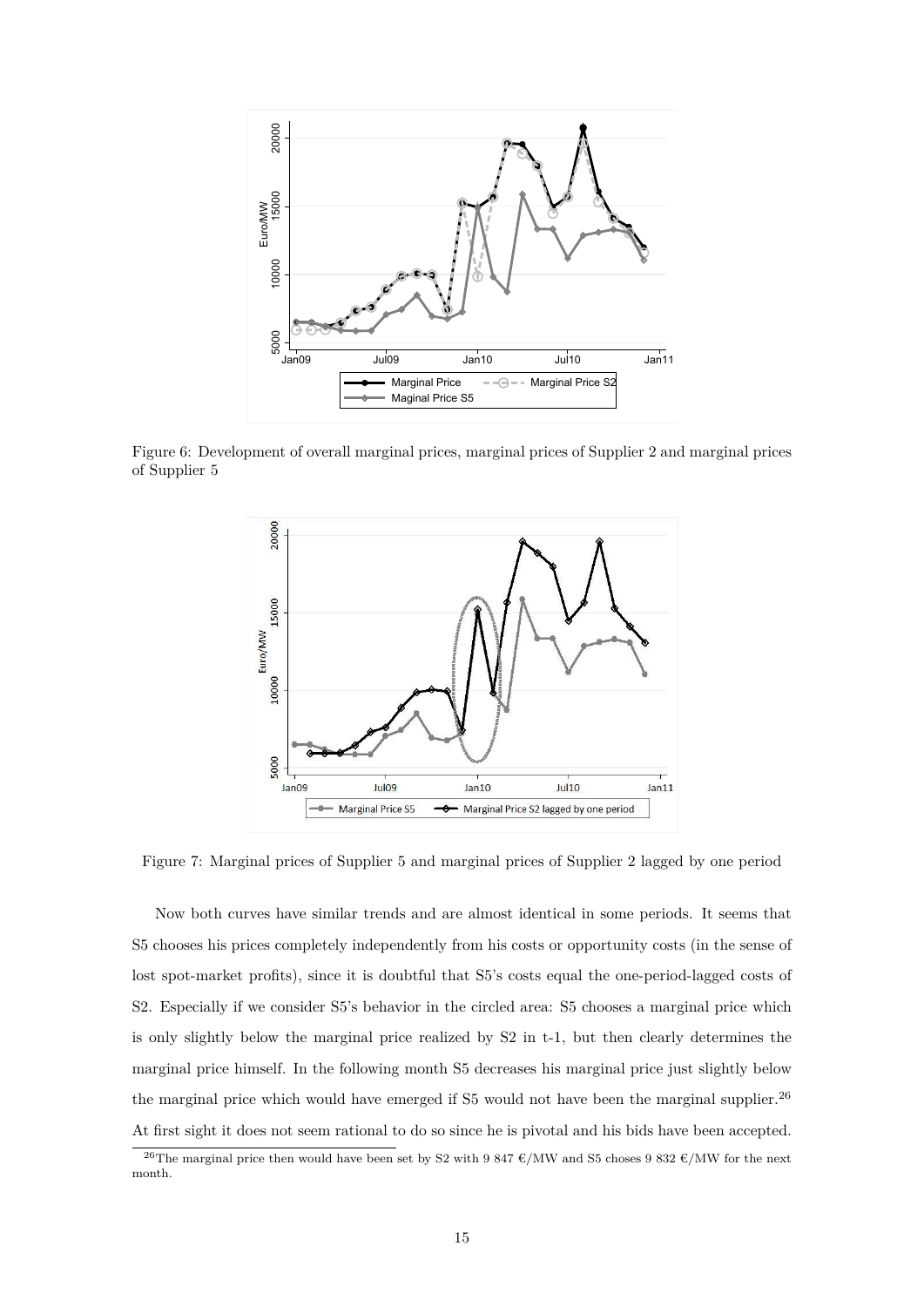

Figure 6: Development of overall marginal prices, marginal prices of Supplier 2 and marginal prices of Supplier 5



Figure 7: Marginal prices of Supplier 5 and marginal prices of Supplier 2 lagged by one period

Now both curves have similar trends and are almost identical in some periods. It seems that S5 chooses his prices completely independently from his costs or opportunity costs (in the sense of lost spot-market profits), since it is doubtful that S5's costs equal the one-period-lagged costs of S2. Especially if we consider S5's behavior in the circled area: S5 chooses a marginal price which is only slightly below the marginal price realized by S2 in t-1, but then clearly determines the marginal price himself. In the following month S5 decreases his marginal price just slightly below the marginal price which would have emerged if S5 would not have been the marginal supplier.<sup>26</sup> At first sight it does not seem rational to do so since he is pivotal and his bids have been accepted.

<sup>&</sup>lt;sup>26</sup>The marginal price then would have been set by S2 with 9 847  $\epsilon$ /MW and S5 choses 9 832  $\epsilon$ /MW for the next month.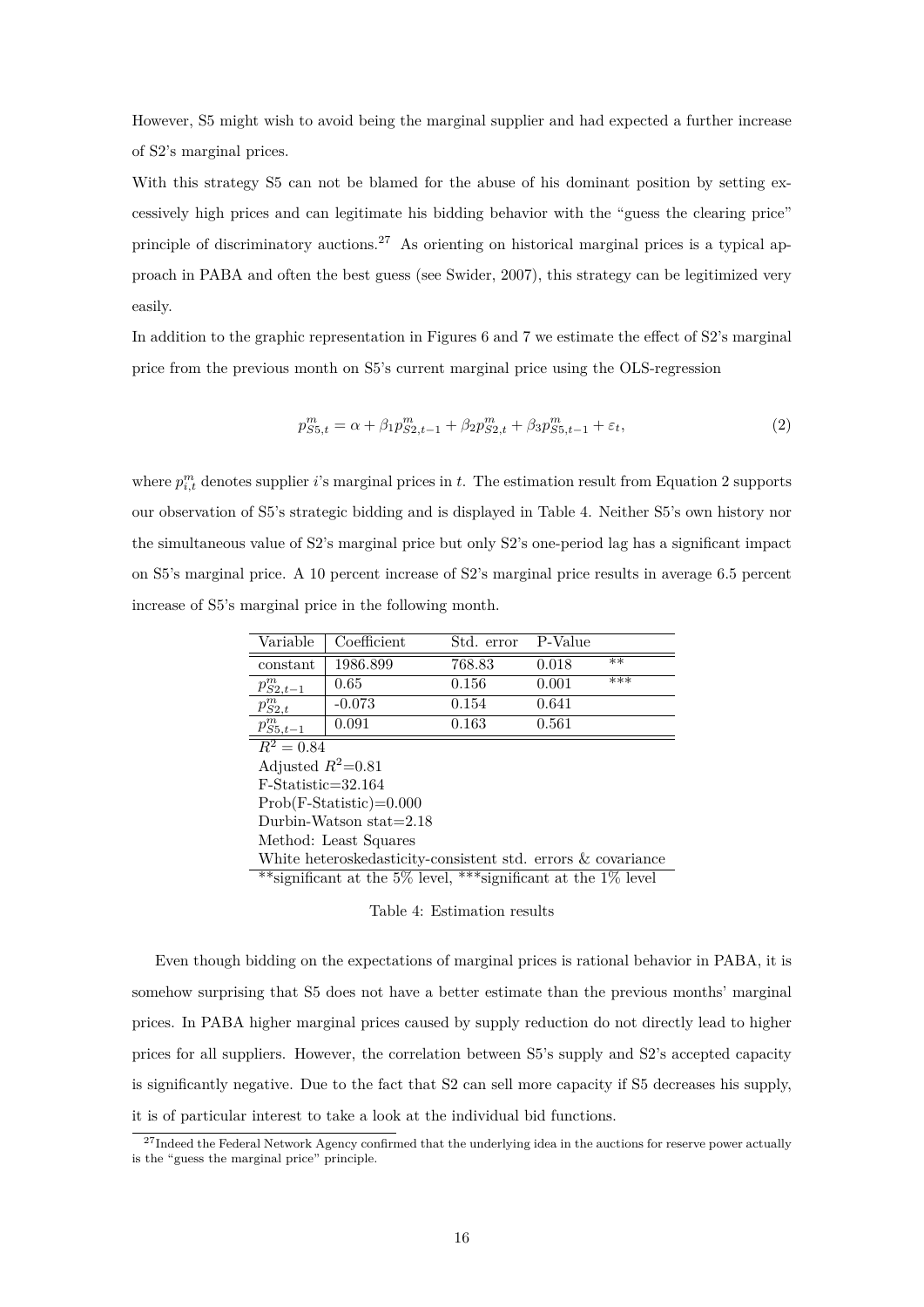However, S5 might wish to avoid being the marginal supplier and had expected a further increase of S2's marginal prices.

With this strategy S5 can not be blamed for the abuse of his dominant position by setting excessively high prices and can legitimate his bidding behavior with the "guess the clearing price" principle of discriminatory auctions.<sup>27</sup> As orienting on historical marginal prices is a typical approach in PABA and often the best guess (see Swider, 2007), this strategy can be legitimized very easily.

In addition to the graphic representation in Figures 6 and 7 we estimate the effect of S2's marginal price from the previous month on S5's current marginal price using the OLS-regression

$$
p_{S5,t}^m = \alpha + \beta_1 p_{S2,t-1}^m + \beta_2 p_{S2,t}^m + \beta_3 p_{S5,t-1}^m + \varepsilon_t,
$$
\n(2)

where  $p_{i,t}^m$  denotes supplier *i*'s marginal prices in *t*. The estimation result from Equation 2 supports our observation of S5's strategic bidding and is displayed in Table 4. Neither S5's own history nor the simultaneous value of S2's marginal price but only S2's one-period lag has a significant impact on S5's marginal price. A 10 percent increase of S2's marginal price results in average 6.5 percent increase of S5's marginal price in the following month.

| Variable            | Coefficient | Std. error | P-Value |      |  |
|---------------------|-------------|------------|---------|------|--|
| constant            | 1986.899    | 768.83     | 0.018   | $**$ |  |
| $p_{S2,t-1}^m$      | 0.65        | 0.156      | 0.001   | ***  |  |
| $p_{S2,t}^m$        | $-0.073$    | 0.154      | 0.641   |      |  |
| $p_{S5,t-1}^m$      | 0.091       | 0.163      | 0.561   |      |  |
| $R^2 = 0.84$        |             |            |         |      |  |
| Adjusted $R^2=0.81$ |             |            |         |      |  |

| F-Statistic=32.164                                            |
|---------------------------------------------------------------|
| $Prob(F-Static) = 0.000$                                      |
| Durbin-Watson stat=2.18                                       |
| Method: Least Squares                                         |
| White heteroskedasticity-consistent std. errors & covariance  |
| **significant at the 5% level, ***significant at the 1% level |

Table 4: Estimation results

Even though bidding on the expectations of marginal prices is rational behavior in PABA, it is somehow surprising that S5 does not have a better estimate than the previous months' marginal prices. In PABA higher marginal prices caused by supply reduction do not directly lead to higher prices for all suppliers. However, the correlation between S5's supply and S2's accepted capacity is significantly negative. Due to the fact that S2 can sell more capacity if S5 decreases his supply, it is of particular interest to take a look at the individual bid functions.

<sup>&</sup>lt;sup>27</sup>Indeed the Federal Network Agency confirmed that the underlying idea in the auctions for reserve power actually is the "guess the marginal price" principle.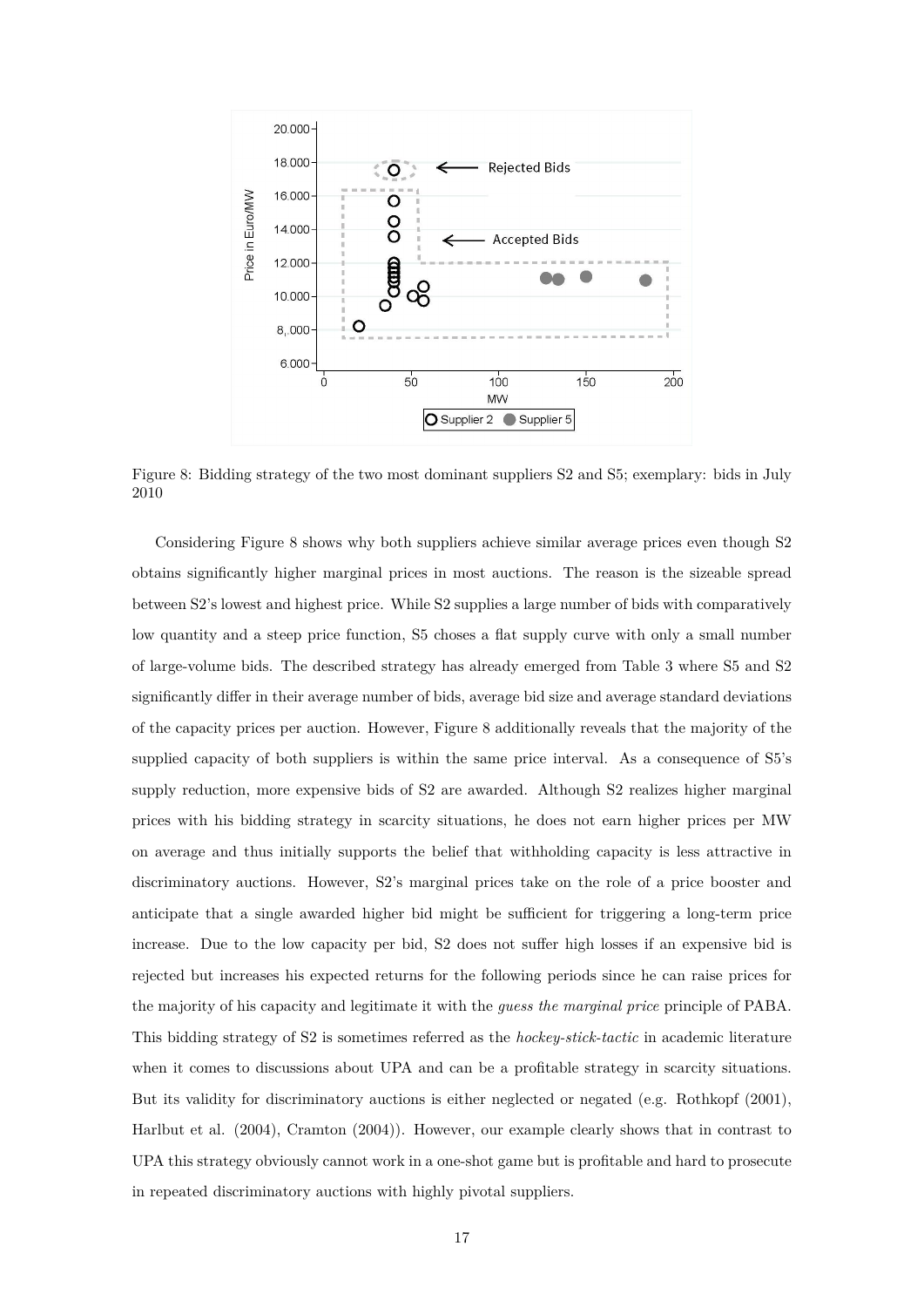

Figure 8: Bidding strategy of the two most dominant suppliers S2 and S5; exemplary: bids in July 2010

Considering Figure 8 shows why both suppliers achieve similar average prices even though S2 obtains significantly higher marginal prices in most auctions. The reason is the sizeable spread between S2's lowest and highest price. While S2 supplies a large number of bids with comparatively low quantity and a steep price function, S5 choses a flat supply curve with only a small number of large-volume bids. The described strategy has already emerged from Table 3 where S5 and S2 significantly differ in their average number of bids, average bid size and average standard deviations of the capacity prices per auction. However, Figure 8 additionally reveals that the majority of the supplied capacity of both suppliers is within the same price interval. As a consequence of S5's supply reduction, more expensive bids of S2 are awarded. Although S2 realizes higher marginal prices with his bidding strategy in scarcity situations, he does not earn higher prices per MW on average and thus initially supports the belief that withholding capacity is less attractive in discriminatory auctions. However, S2's marginal prices take on the role of a price booster and anticipate that a single awarded higher bid might be sufficient for triggering a long-term price increase. Due to the low capacity per bid, S2 does not suffer high losses if an expensive bid is rejected but increases his expected returns for the following periods since he can raise prices for the majority of his capacity and legitimate it with the *guess the marginal price* principle of PABA. This bidding strategy of S2 is sometimes referred as the *hockey-stick-tactic* in academic literature when it comes to discussions about UPA and can be a profitable strategy in scarcity situations. But its validity for discriminatory auctions is either neglected or negated (e.g. Rothkopf (2001), Harlbut et al. (2004), Cramton (2004)). However, our example clearly shows that in contrast to UPA this strategy obviously cannot work in a one-shot game but is profitable and hard to prosecute in repeated discriminatory auctions with highly pivotal suppliers.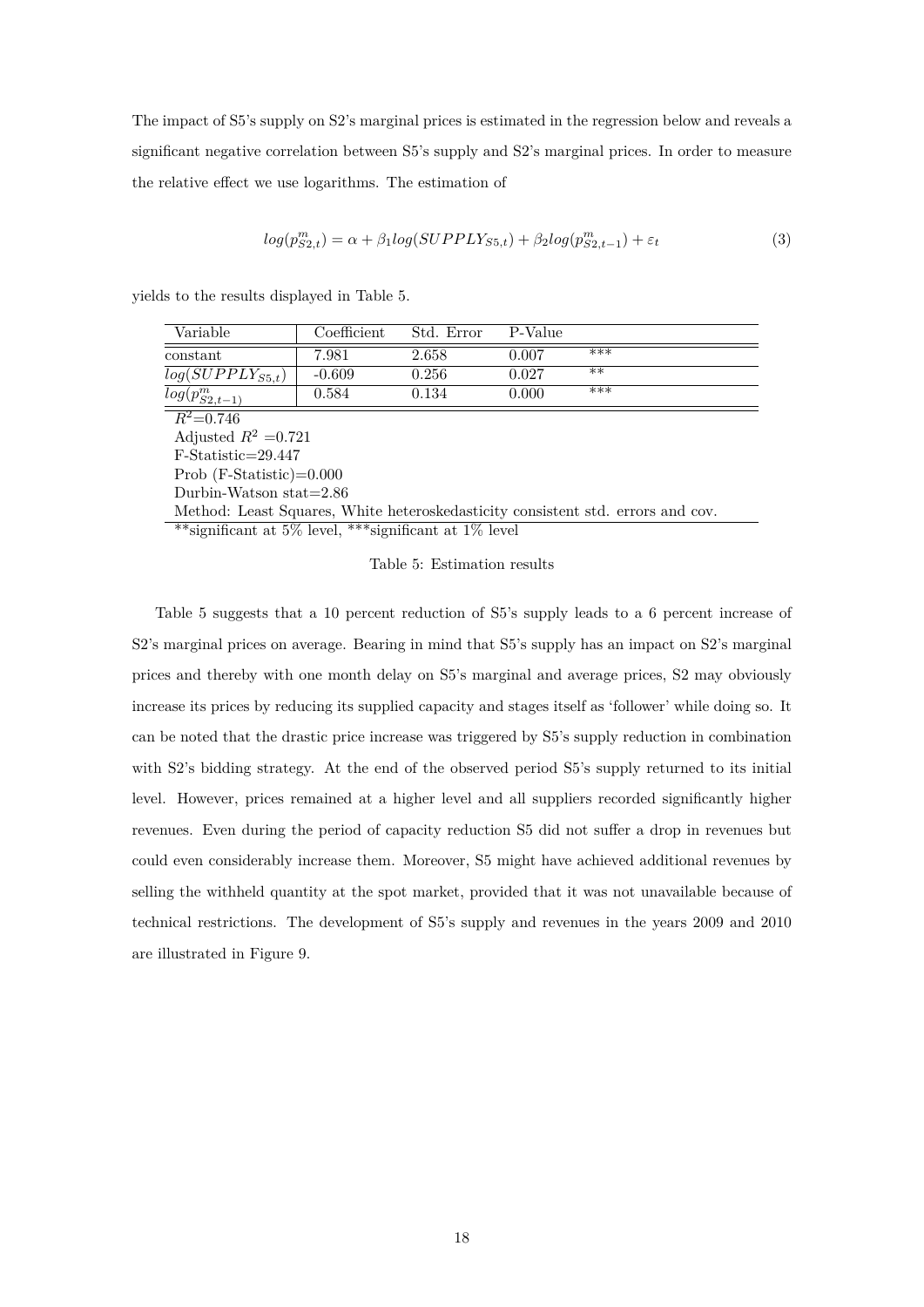The impact of S5's supply on S2's marginal prices is estimated in the regression below and reveals a significant negative correlation between S5's supply and S2's marginal prices. In order to measure the relative effect we use logarithms. The estimation of

$$
log(p_{S2,t}^m) = \alpha + \beta_1 log(SUPPLY_{S5,t}) + \beta_2 log(p_{S2,t-1}^m) + \varepsilon_t
$$
\n
$$
\tag{3}
$$

| Variable                                                                        | Coefficient | Std. Error | P-Value |      |  |
|---------------------------------------------------------------------------------|-------------|------------|---------|------|--|
| constant                                                                        | 7.981       | 2.658      | 0.007   | ***  |  |
| $log(SUPPLY_{S5,t})$                                                            | $-0.609$    | 0.256      | 0.027   | $**$ |  |
| $log(p_{S2,t-1}^m)$                                                             | 0.584       | 0.134      | 0.000   | ***  |  |
| $R^2=0.746$                                                                     |             |            |         |      |  |
| Adjusted $R^2 = 0.721$                                                          |             |            |         |      |  |
| $F-Statistic=29.447$                                                            |             |            |         |      |  |
| Prob $(F\text{-}Statistic)=0.000$                                               |             |            |         |      |  |
| Durbin-Watson stat= $2.86$                                                      |             |            |         |      |  |
| Method: Least Squares, White heteroskedasticity consistent std. errors and cov. |             |            |         |      |  |
| **significant at 5\% level, ***significant at 1\% level                         |             |            |         |      |  |

yields to the results displayed in Table 5.

Table 5: Estimation results

Table 5 suggests that a 10 percent reduction of S5's supply leads to a 6 percent increase of S2's marginal prices on average. Bearing in mind that S5's supply has an impact on S2's marginal prices and thereby with one month delay on S5's marginal and average prices, S2 may obviously increase its prices by reducing its supplied capacity and stages itself as 'follower' while doing so. It can be noted that the drastic price increase was triggered by S5's supply reduction in combination with S2's bidding strategy. At the end of the observed period S5's supply returned to its initial level. However, prices remained at a higher level and all suppliers recorded significantly higher revenues. Even during the period of capacity reduction S5 did not suffer a drop in revenues but could even considerably increase them. Moreover, S5 might have achieved additional revenues by selling the withheld quantity at the spot market, provided that it was not unavailable because of technical restrictions. The development of S5's supply and revenues in the years 2009 and 2010 are illustrated in Figure 9.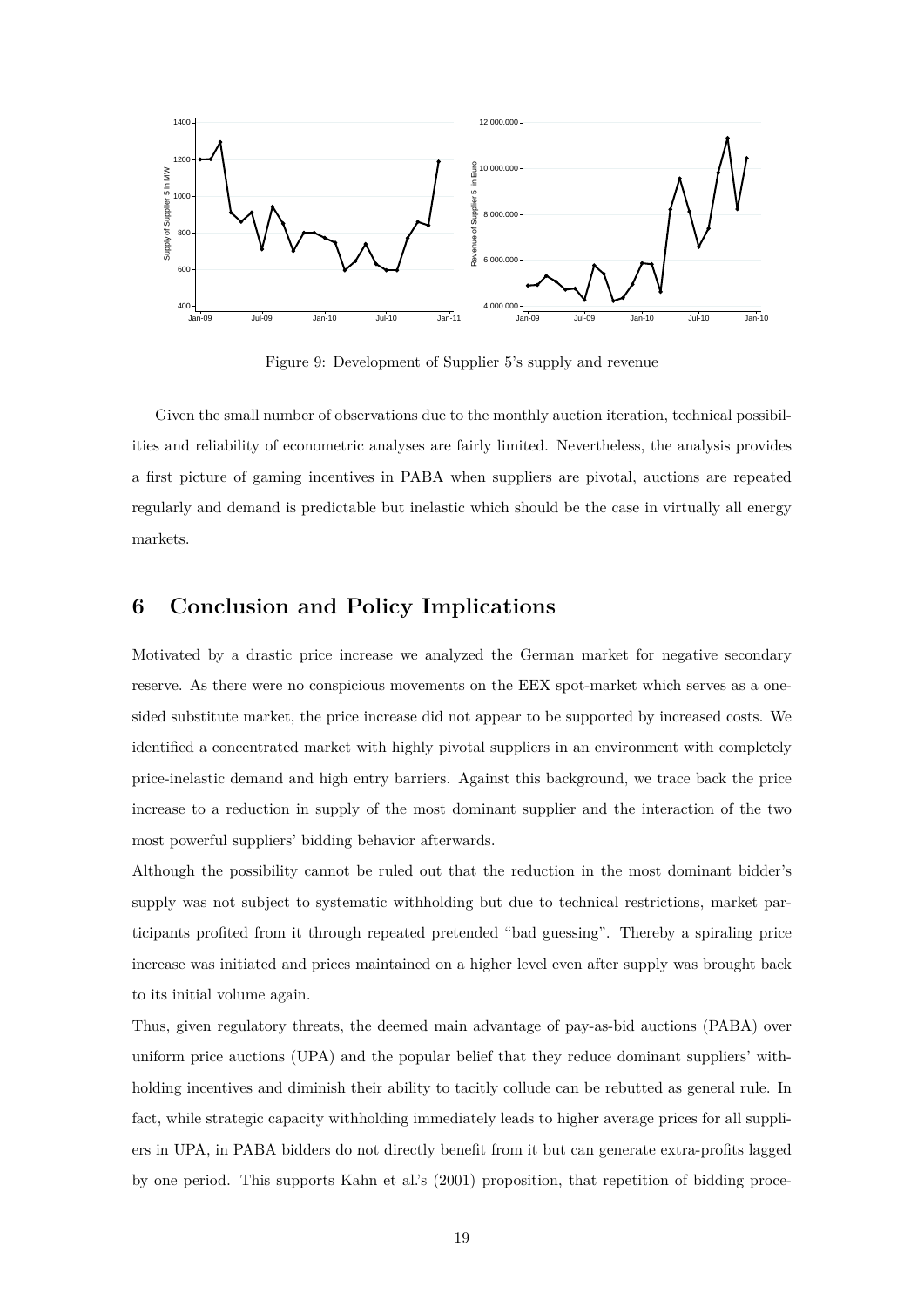

Figure 9: Development of Supplier 5's supply and revenue

Given the small number of observations due to the monthly auction iteration, technical possibilities and reliability of econometric analyses are fairly limited. Nevertheless, the analysis provides a first picture of gaming incentives in PABA when suppliers are pivotal, auctions are repeated regularly and demand is predictable but inelastic which should be the case in virtually all energy markets.

### **6 Conclusion and Policy Implications**

Motivated by a drastic price increase we analyzed the German market for negative secondary reserve. As there were no conspicious movements on the EEX spot-market which serves as a onesided substitute market, the price increase did not appear to be supported by increased costs. We identified a concentrated market with highly pivotal suppliers in an environment with completely price-inelastic demand and high entry barriers. Against this background, we trace back the price increase to a reduction in supply of the most dominant supplier and the interaction of the two most powerful suppliers' bidding behavior afterwards.

Although the possibility cannot be ruled out that the reduction in the most dominant bidder's supply was not subject to systematic withholding but due to technical restrictions, market participants profited from it through repeated pretended "bad guessing". Thereby a spiraling price increase was initiated and prices maintained on a higher level even after supply was brought back to its initial volume again.

Thus, given regulatory threats, the deemed main advantage of pay-as-bid auctions (PABA) over uniform price auctions (UPA) and the popular belief that they reduce dominant suppliers' withholding incentives and diminish their ability to tacitly collude can be rebutted as general rule. In fact, while strategic capacity withholding immediately leads to higher average prices for all suppliers in UPA, in PABA bidders do not directly benefit from it but can generate extra-profits lagged by one period. This supports Kahn et al.'s (2001) proposition, that repetition of bidding proce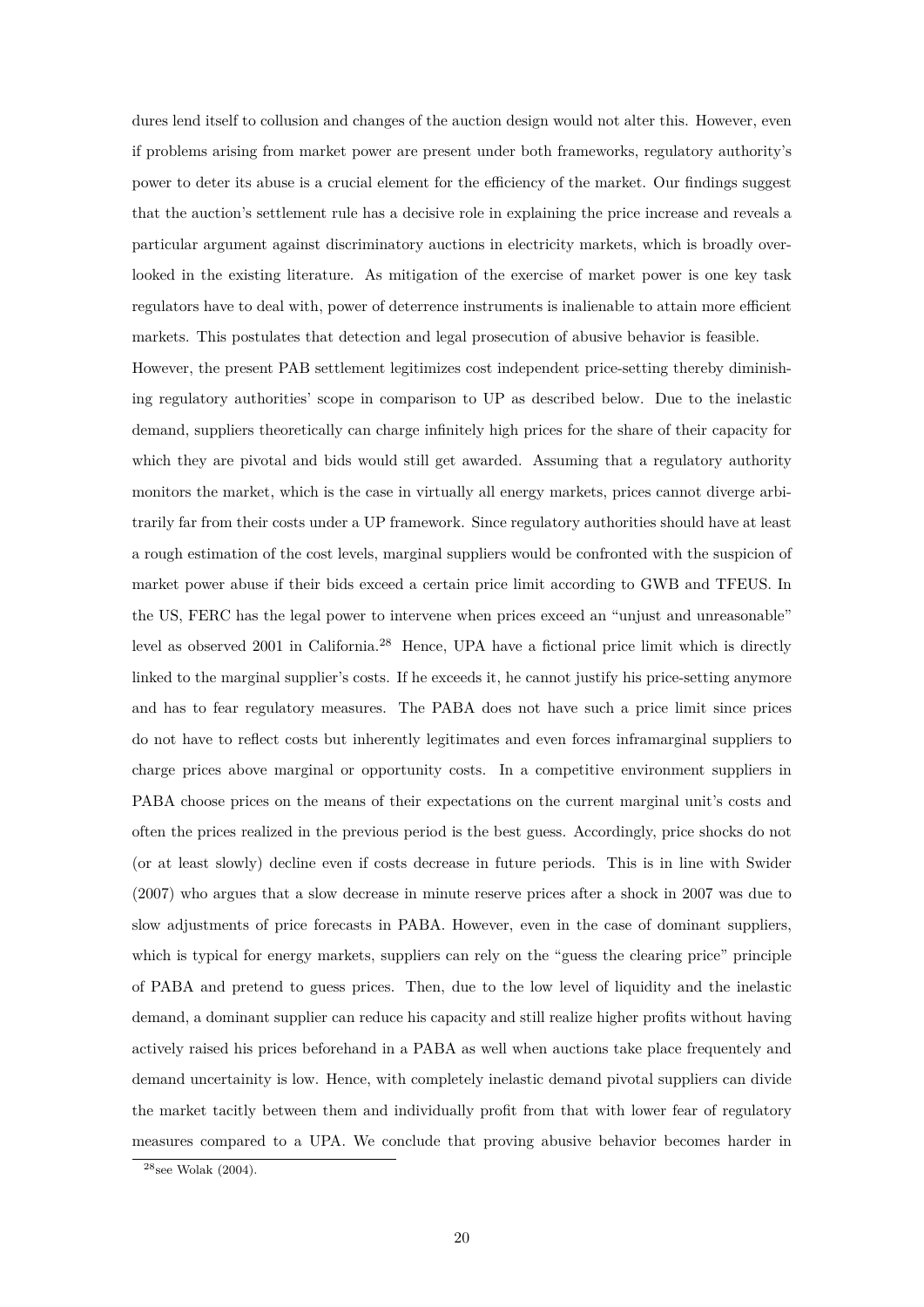dures lend itself to collusion and changes of the auction design would not alter this. However, even if problems arising from market power are present under both frameworks, regulatory authority's power to deter its abuse is a crucial element for the efficiency of the market. Our findings suggest that the auction's settlement rule has a decisive role in explaining the price increase and reveals a particular argument against discriminatory auctions in electricity markets, which is broadly overlooked in the existing literature. As mitigation of the exercise of market power is one key task regulators have to deal with, power of deterrence instruments is inalienable to attain more efficient markets. This postulates that detection and legal prosecution of abusive behavior is feasible.

However, the present PAB settlement legitimizes cost independent price-setting thereby diminishing regulatory authorities' scope in comparison to UP as described below. Due to the inelastic demand, suppliers theoretically can charge infinitely high prices for the share of their capacity for which they are pivotal and bids would still get awarded. Assuming that a regulatory authority monitors the market, which is the case in virtually all energy markets, prices cannot diverge arbitrarily far from their costs under a UP framework. Since regulatory authorities should have at least a rough estimation of the cost levels, marginal suppliers would be confronted with the suspicion of market power abuse if their bids exceed a certain price limit according to GWB and TFEUS. In the US, FERC has the legal power to intervene when prices exceed an "unjust and unreasonable" level as observed 2001 in California.<sup>28</sup> Hence, UPA have a fictional price limit which is directly linked to the marginal supplier's costs. If he exceeds it, he cannot justify his price-setting anymore and has to fear regulatory measures. The PABA does not have such a price limit since prices do not have to reflect costs but inherently legitimates and even forces inframarginal suppliers to charge prices above marginal or opportunity costs. In a competitive environment suppliers in PABA choose prices on the means of their expectations on the current marginal unit's costs and often the prices realized in the previous period is the best guess. Accordingly, price shocks do not (or at least slowly) decline even if costs decrease in future periods. This is in line with Swider (2007) who argues that a slow decrease in minute reserve prices after a shock in 2007 was due to slow adjustments of price forecasts in PABA. However, even in the case of dominant suppliers, which is typical for energy markets, suppliers can rely on the "guess the clearing price" principle of PABA and pretend to guess prices. Then, due to the low level of liquidity and the inelastic demand, a dominant supplier can reduce his capacity and still realize higher profits without having actively raised his prices beforehand in a PABA as well when auctions take place frequentely and demand uncertainity is low. Hence, with completely inelastic demand pivotal suppliers can divide the market tacitly between them and individually profit from that with lower fear of regulatory measures compared to a UPA. We conclude that proving abusive behavior becomes harder in

 $28$ see Wolak (2004).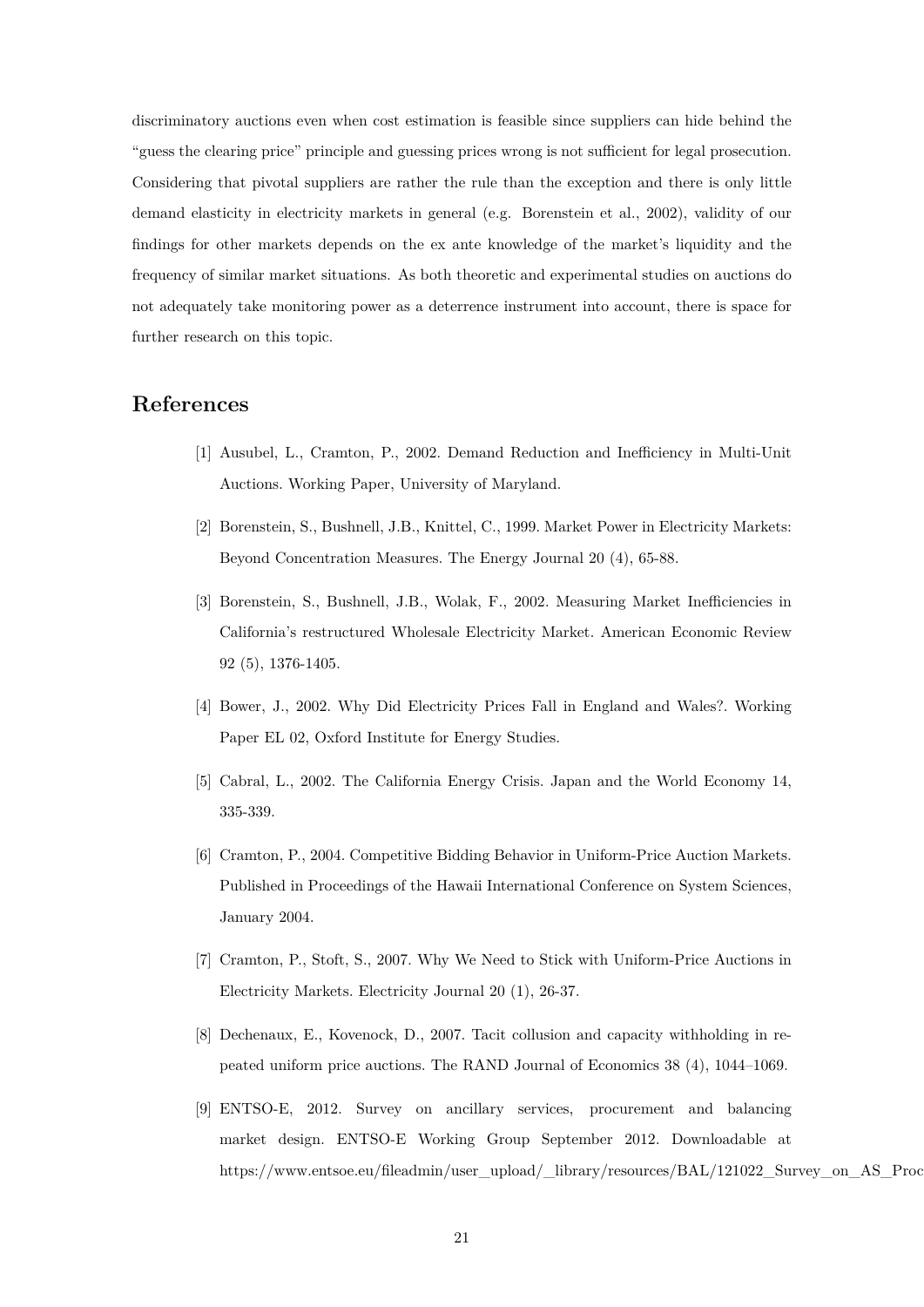discriminatory auctions even when cost estimation is feasible since suppliers can hide behind the "guess the clearing price" principle and guessing prices wrong is not sufficient for legal prosecution. Considering that pivotal suppliers are rather the rule than the exception and there is only little demand elasticity in electricity markets in general (e.g. Borenstein et al., 2002), validity of our findings for other markets depends on the ex ante knowledge of the market's liquidity and the frequency of similar market situations. As both theoretic and experimental studies on auctions do not adequately take monitoring power as a deterrence instrument into account, there is space for further research on this topic.

### **References**

- [1] Ausubel, L., Cramton, P., 2002. Demand Reduction and Inefficiency in Multi-Unit Auctions. Working Paper, University of Maryland.
- [2] Borenstein, S., Bushnell, J.B., Knittel, C., 1999. Market Power in Electricity Markets: Beyond Concentration Measures. The Energy Journal 20 (4), 65-88.
- [3] Borenstein, S., Bushnell, J.B., Wolak, F., 2002. Measuring Market Inefficiencies in California's restructured Wholesale Electricity Market. American Economic Review 92 (5), 1376-1405.
- [4] Bower, J., 2002. Why Did Electricity Prices Fall in England and Wales?. Working Paper EL 02, Oxford Institute for Energy Studies.
- [5] Cabral, L., 2002. The California Energy Crisis. Japan and the World Economy 14, 335-339.
- [6] Cramton, P., 2004. Competitive Bidding Behavior in Uniform-Price Auction Markets. Published in Proceedings of the Hawaii International Conference on System Sciences, January 2004.
- [7] Cramton, P., Stoft, S., 2007. Why We Need to Stick with Uniform-Price Auctions in Electricity Markets. Electricity Journal 20 (1), 26-37.
- [8] Dechenaux, E., Kovenock, D., 2007. Tacit collusion and capacity withholding in repeated uniform price auctions. The RAND Journal of Economics 38 (4), 1044–1069.
- [9] ENTSO-E, 2012. Survey on ancillary services, procurement and balancing market design. ENTSO-E Working Group September 2012. Downloadable at https://www.entsoe.eu/fileadmin/user\_upload/\_library/resources/BAL/121022\_Survey\_on\_AS\_Proc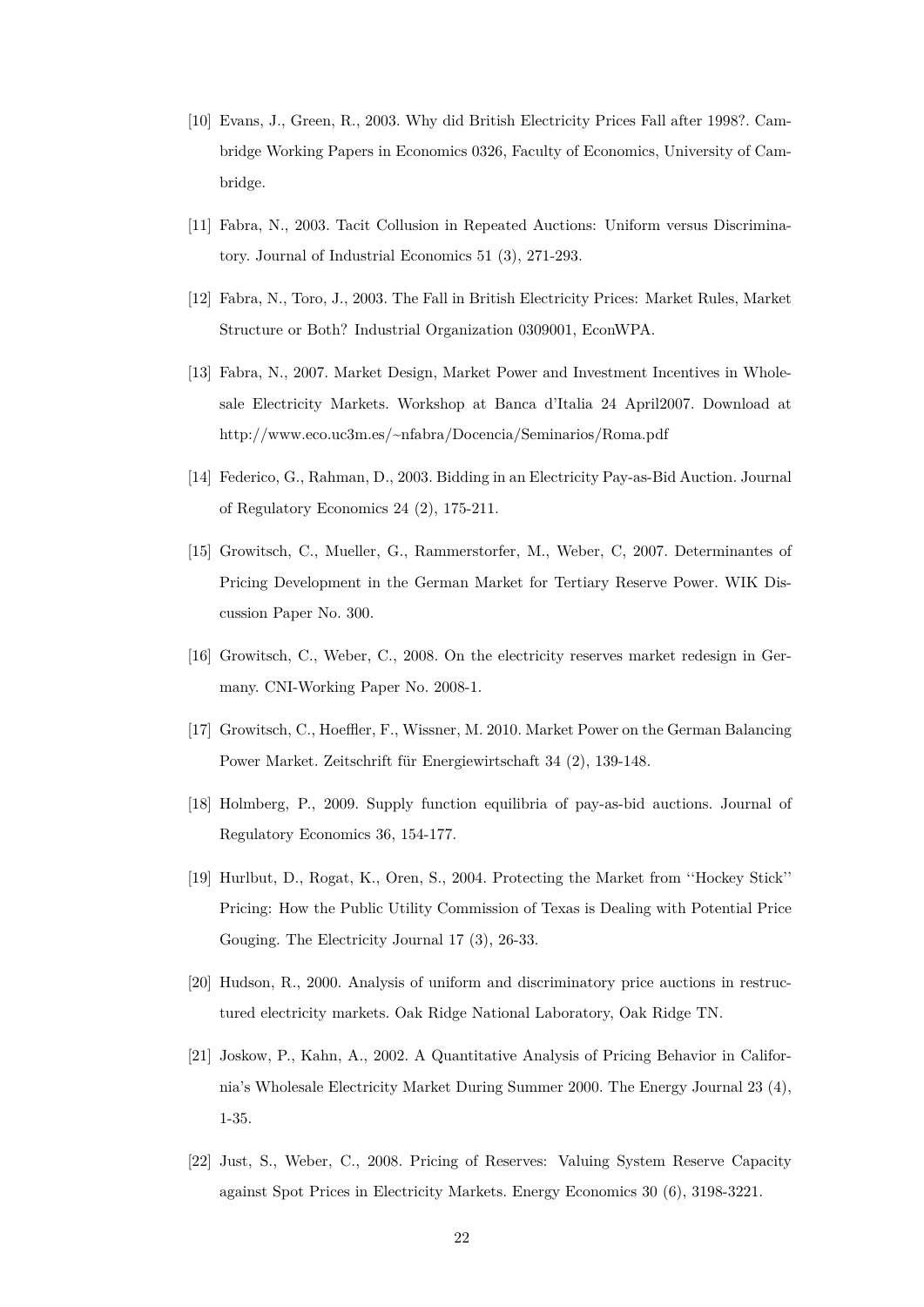- [10] Evans, J., Green, R., 2003. Why did British Electricity Prices Fall after 1998?. Cambridge Working Papers in Economics 0326, Faculty of Economics, University of Cambridge.
- [11] Fabra, N., 2003. Tacit Collusion in Repeated Auctions: Uniform versus Discriminatory. Journal of Industrial Economics 51 (3), 271-293.
- [12] Fabra, N., Toro, J., 2003. The Fall in British Electricity Prices: Market Rules, Market Structure or Both? Industrial Organization 0309001, EconWPA.
- [13] Fabra, N., 2007. Market Design, Market Power and Investment Incentives in Wholesale Electricity Markets. Workshop at Banca d'Italia 24 April2007. Download at http://www.eco.uc3m.es/~nfabra/Docencia/Seminarios/Roma.pdf
- [14] Federico, G., Rahman, D., 2003. Bidding in an Electricity Pay-as-Bid Auction. Journal of Regulatory Economics 24 (2), 175-211.
- [15] Growitsch, C., Mueller, G., Rammerstorfer, M., Weber, C, 2007. Determinantes of Pricing Development in the German Market for Tertiary Reserve Power. WIK Discussion Paper No. 300.
- [16] Growitsch, C., Weber, C., 2008. On the electricity reserves market redesign in Germany. CNI-Working Paper No. 2008-1.
- [17] Growitsch, C., Hoeffler, F., Wissner, M. 2010. Market Power on the German Balancing Power Market. Zeitschrift für Energiewirtschaft 34 (2), 139-148.
- [18] Holmberg, P., 2009. Supply function equilibria of pay-as-bid auctions. Journal of Regulatory Economics 36, 154-177.
- [19] Hurlbut, D., Rogat, K., Oren, S., 2004. Protecting the Market from ''Hockey Stick'' Pricing: How the Public Utility Commission of Texas is Dealing with Potential Price Gouging. The Electricity Journal 17 (3), 26-33.
- [20] Hudson, R., 2000. Analysis of uniform and discriminatory price auctions in restructured electricity markets. Oak Ridge National Laboratory, Oak Ridge TN.
- [21] Joskow, P., Kahn, A., 2002. A Quantitative Analysis of Pricing Behavior in California's Wholesale Electricity Market During Summer 2000. The Energy Journal 23 (4), 1-35.
- [22] Just, S., Weber, C., 2008. Pricing of Reserves: Valuing System Reserve Capacity against Spot Prices in Electricity Markets. Energy Economics 30 (6), 3198-3221.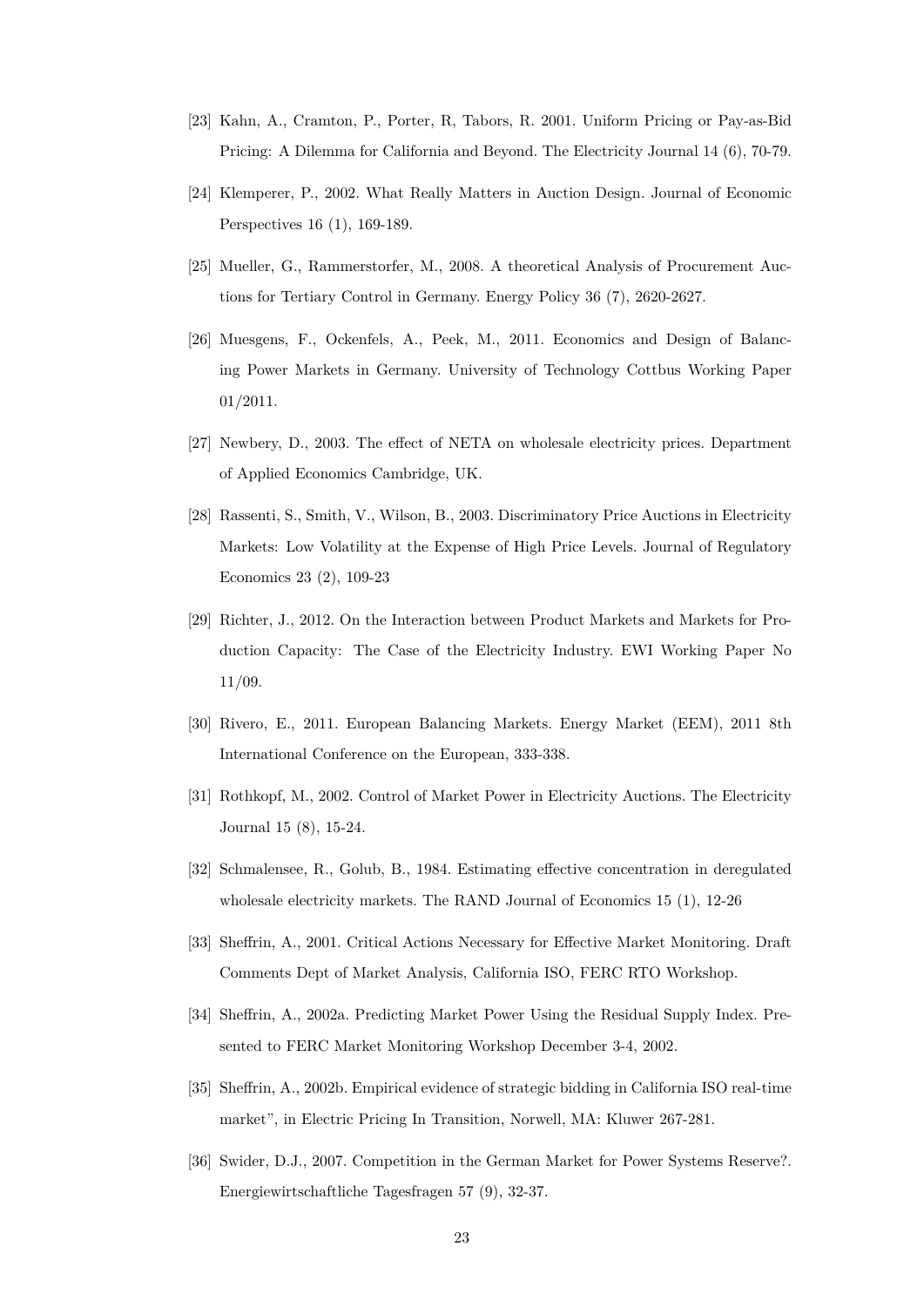- [23] Kahn, A., Cramton, P., Porter, R, Tabors, R. 2001. Uniform Pricing or Pay-as-Bid Pricing: A Dilemma for California and Beyond. The Electricity Journal 14 (6), 70-79.
- [24] Klemperer, P., 2002. What Really Matters in Auction Design. Journal of Economic Perspectives 16 (1), 169-189.
- [25] Mueller, G., Rammerstorfer, M., 2008. A theoretical Analysis of Procurement Auctions for Tertiary Control in Germany. Energy Policy 36 (7), 2620-2627.
- [26] Muesgens, F., Ockenfels, A., Peek, M., 2011. Economics and Design of Balancing Power Markets in Germany. University of Technology Cottbus Working Paper 01/2011.
- [27] Newbery, D., 2003. The effect of NETA on wholesale electricity prices. Department of Applied Economics Cambridge, UK.
- [28] Rassenti, S., Smith, V., Wilson, B., 2003. Discriminatory Price Auctions in Electricity Markets: Low Volatility at the Expense of High Price Levels. Journal of Regulatory Economics 23 (2), 109-23
- [29] Richter, J., 2012. On the Interaction between Product Markets and Markets for Production Capacity: The Case of the Electricity Industry. EWI Working Paper No 11/09.
- [30] Rivero, E., 2011. European Balancing Markets. Energy Market (EEM), 2011 8th International Conference on the European, 333-338.
- [31] Rothkopf, M., 2002. Control of Market Power in Electricity Auctions. The Electricity Journal 15 (8), 15-24.
- [32] Schmalensee, R., Golub, B., 1984. Estimating effective concentration in deregulated wholesale electricity markets. The RAND Journal of Economics 15 (1), 12-26
- [33] Sheffrin, A., 2001. Critical Actions Necessary for Effective Market Monitoring. Draft Comments Dept of Market Analysis, California ISO, FERC RTO Workshop.
- [34] Sheffrin, A., 2002a. Predicting Market Power Using the Residual Supply Index. Presented to FERC Market Monitoring Workshop December 3-4, 2002.
- [35] Sheffrin, A., 2002b. Empirical evidence of strategic bidding in California ISO real-time market", in Electric Pricing In Transition, Norwell, MA: Kluwer 267-281.
- [36] Swider, D.J., 2007. Competition in the German Market for Power Systems Reserve?. Energiewirtschaftliche Tagesfragen 57 (9), 32-37.